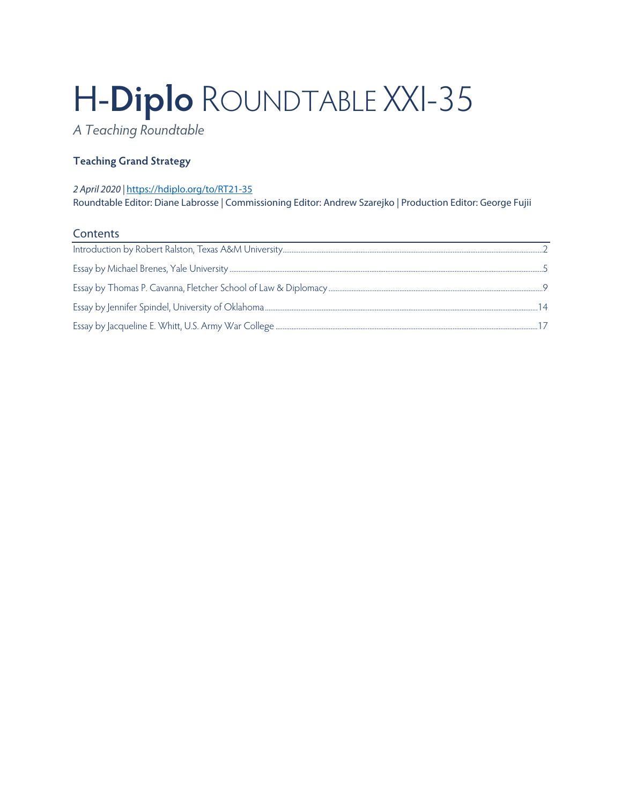# H-**Diplo** ROUNDTABLE XXI-35

*A Teaching Roundtable*

# **Teaching Grand Strategy**

## *2 April 2020 |* <https://hdiplo.org/to/RT21-35>

Roundtable Editor: Diane Labrosse | Commissioning Editor: Andrew Szarejko | Production Editor: George Fujii

## **Contents**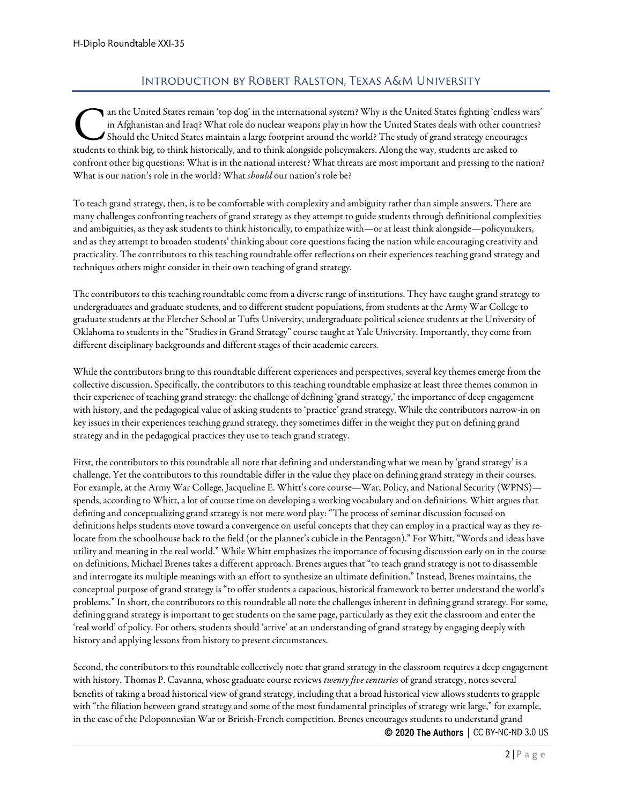# Introduction by Robert Ralston, Texas A&M University

<span id="page-1-0"></span>an the United States remain 'top dog' in the international system? Why is the United States fighting 'endless wars' in Afghanistan and Iraq? What role do nuclear weapons play in how the United States deals with other countries? Should the United States maintain a large footprint around the world? The study of grand strategy encourages an the United States remain 'top dog' in the international system? Why is the United States fighting 'endless<br>in Afghanistan and Iraq? What role do nuclear weapons play in how the United States deals with other coun<br>studen confront other big questions: What is in the national interest? What threats are most important and pressing to the nation? What is our nation's role in the world? What *should* our nation's role be?

To teach grand strategy, then, is to be comfortable with complexity and ambiguity rather than simple answers. There are many challenges confronting teachers of grand strategy as they attempt to guide students through definitional complexities and ambiguities, as they ask students to think historically, to empathize with—or at least think alongside—policymakers, and as they attempt to broaden students' thinking about core questions facing the nation while encouraging creativity and practicality. The contributors to this teaching roundtable offer reflections on their experiences teaching grand strategy and techniques others might consider in their own teaching of grand strategy.

The contributors to this teaching roundtable come from a diverse range of institutions. They have taught grand strategy to undergraduates and graduate students, and to different student populations, from students at the Army War College to graduate students at the Fletcher School at Tufts University, undergraduate political science students at the University of Oklahoma to students in the "Studies in Grand Strategy" course taught at Yale University. Importantly, they come from different disciplinary backgrounds and different stages of their academic careers.

While the contributors bring to this roundtable different experiences and perspectives, several key themes emerge from the collective discussion. Specifically, the contributors to this teaching roundtable emphasize at least three themes common in their experience of teaching grand strategy: the challenge of defining 'grand strategy,' the importance of deep engagement with history, and the pedagogical value of asking students to 'practice' grand strategy. While the contributors narrow-in on key issues in their experiences teaching grand strategy, they sometimes differ in the weight they put on defining grand strategy and in the pedagogical practices they use to teach grand strategy.

First, the contributors to this roundtable all note that defining and understanding what we mean by 'grand strategy' is a challenge. Yet the contributors to this roundtable differ in the value they place on defining grand strategy in their courses. For example, at the Army War College, Jacqueline E. Whitt's core course—War, Policy, and National Security (WPNS) spends, according to Whitt, a lot of course time on developing a working vocabulary and on definitions. Whitt argues that defining and conceptualizing grand strategy is not mere word play: "The process of seminar discussion focused on definitions helps students move toward a convergence on useful concepts that they can employ in a practical way as they relocate from the schoolhouse back to the field (or the planner's cubicle in the Pentagon)." For Whitt, "Words and ideas have utility and meaning in the real world." While Whitt emphasizes the importance of focusing discussion early on in the course on definitions, Michael Brenes takes a different approach. Brenes argues that "to teach grand strategy is not to disassemble and interrogate its multiple meanings with an effort to synthesize an ultimate definition." Instead, Brenes maintains, the conceptual purpose of grand strategy is "to offer students a capacious, historical framework to better understand the world's problems." In short, the contributors to this roundtable all note the challenges inherent in defining grand strategy. For some, defining grand strategy is important to get students on the same page, particularly as they exit the classroom and enter the 'real world' of policy. For others, students should 'arrive' at an understanding of grand strategy by engaging deeply with history and applying lessons from history to present circumstances.

Second, the contributors to this roundtable collectively note that grand strategy in the classroom requires a deep engagement with history. Thomas P. Cavanna, whose graduate course reviews *twenty five centuries* of grand strategy, notes several benefits of taking a broad historical view of grand strategy, including that a broad historical view allows students to grapple with "the filiation between grand strategy and some of the most fundamental principles of strategy writ large," for example, in the case of the Peloponnesian War or British-French competition. Brenes encourages students to understand grand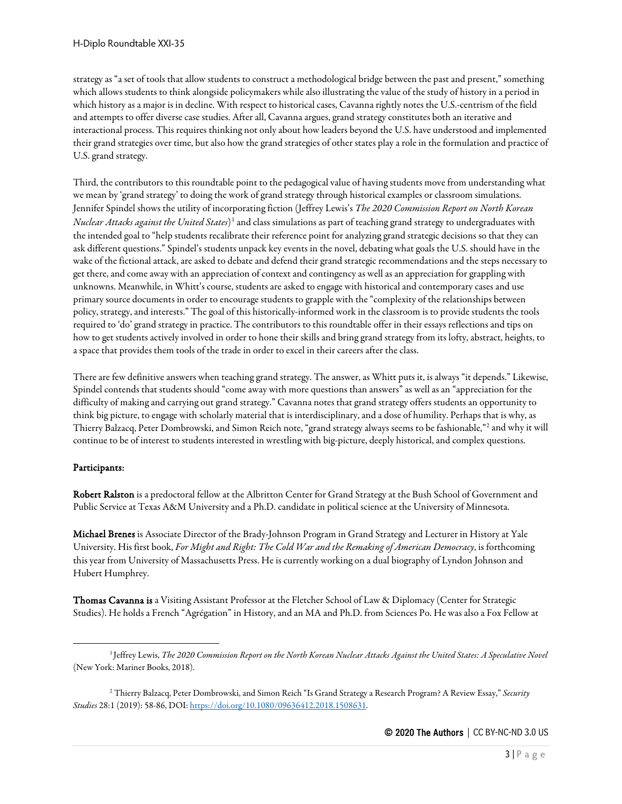strategy as "a set of tools that allow students to construct a methodological bridge between the past and present," something which allows students to think alongside policymakers while also illustrating the value of the study of history in a period in which history as a major is in decline. With respect to historical cases, Cavanna rightly notes the U.S.-centrism of the field and attempts to offer diverse case studies. After all, Cavanna argues, grand strategy constitutes both an iterative and interactional process. This requires thinking not only about how leaders beyond the U.S. have understood and implemented their grand strategies over time, but also how the grand strategies of other states play a role in the formulation and practice of U.S. grand strategy.

Third, the contributors to this roundtable point to the pedagogical value of having students move from understanding what we mean by 'grand strategy' to doing the work of grand strategy through historical examples or classroom simulations. Jennifer Spindel shows the utility of incorporating fiction (Jeffrey Lewis's *The 2020 Commission Report on North Korean Nuclear Attacks against the United States*)<sup>[1](#page-2-0)</sup> and class simulations as part of teaching grand strategy to undergraduates with the intended goal to "help students recalibrate their reference point for analyzing grand strategic decisions so that they can ask different questions." Spindel's students unpack key events in the novel, debating what goals the U.S. should have in the wake of the fictional attack, are asked to debate and defend their grand strategic recommendations and the steps necessary to get there, and come away with an appreciation of context and contingency as well as an appreciation for grappling with unknowns. Meanwhile, in Whitt's course, students are asked to engage with historical and contemporary cases and use primary source documents in order to encourage students to grapple with the "complexity of the relationships between policy, strategy, and interests." The goal of this historically-informed work in the classroom is to provide students the tools required to 'do' grand strategy in practice. The contributors to this roundtable offer in their essays reflections and tips on how to get students actively involved in order to hone their skills and bring grand strategy from its lofty, abstract, heights, to a space that provides them tools of the trade in order to excel in their careers after the class.

There are few definitive answers when teaching grand strategy. The answer, as Whitt puts it, is always "it depends." Likewise, Spindel contends that students should "come away with more questions than answers" as well as an "appreciation for the difficulty of making and carrying out grand strategy." Cavanna notes that grand strategy offers students an opportunity to think big picture, to engage with scholarly material that is interdisciplinary, and a dose of humility. Perhaps that is why, as Thierry Balzacq, Peter Dombrowski, and Simon Reich note, "grand strategy always seems to be fashionable,"[2](#page-2-1) and why it will continue to be of interest to students interested in wrestling with big-picture, deeply historical, and complex questions.

## Participants:

Robert Ralston is a predoctoral fellow at the Albritton Center for Grand Strategy at the Bush School of Government and Public Service at Texas A&M University and a Ph.D. candidate in political science at the University of Minnesota.

Michael Brenes is Associate Director of the Brady-Johnson Program in Grand Strategy and Lecturer in History at Yale University. His first book, *For Might and Right: The Cold War and the Remaking of American Democracy*, is forthcoming this year from University of Massachusetts Press. He is currently working on a dual biography of Lyndon Johnson and Hubert Humphrey.

Thomas Cavanna is a Visiting Assistant Professor at the Fletcher School of Law & Diplomacy (Center for Strategic Studies). He holds a French "Agrégation" in History, and an MA and Ph.D. from Sciences Po. He was also a Fox Fellow at

<span id="page-2-0"></span><sup>1</sup> Jeffrey Lewis, *The 2020 Commission Report on the North Korean Nuclear Attacks Against the United States: A Speculative Novel* (New York: Mariner Books, 2018).

<span id="page-2-1"></span><sup>2</sup> Thierry Balzacq, Peter Dombrowski, and Simon Reich "Is Grand Strategy a Research Program? A Review Essay," *Security Studies* 28:1 (2019): 58-86, DOI[: https://doi.org/10.1080/09636412.2018.1508631.](https://doi.org/10.1080/09636412.2018.1508631)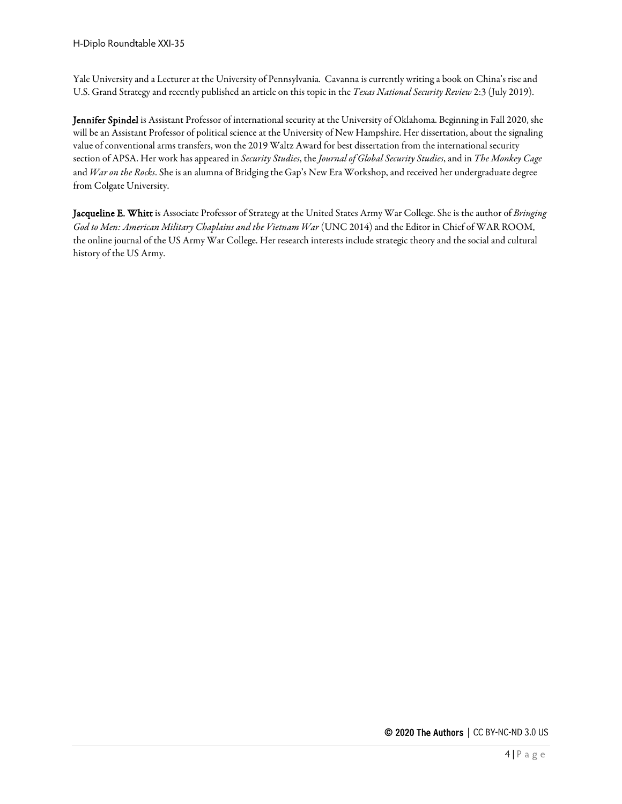Yale University and a Lecturer at the University of Pennsylvania. Cavanna is currently writing a book on China's rise and U.S. Grand Strategy and recently published an article on this topic in the *Texas National Security Review* 2:3 (July 2019).

Jennifer Spindel is Assistant Professor of international security at the University of Oklahoma. Beginning in Fall 2020, she will be an Assistant Professor of political science at the University of New Hampshire. Her dissertation, about the signaling value of conventional arms transfers, won the 2019 Waltz Award for best dissertation from the international security section of APSA. Her work has appeared in *Security Studies*, the *Journal of Global Security Studies*, and in *The Monkey Cage* and *War on the Rocks*. She is an alumna of Bridging the Gap's New Era Workshop, and received her undergraduate degree from Colgate University.

Jacqueline E. Whitt is Associate Professor of Strategy at the United States Army War College. She is the author of *Bringing God to Men: American Military Chaplains and the Vietnam War* (UNC 2014) and the Editor in Chief of WAR ROOM, the online journal of the US Army War College. Her research interests include strategic theory and the social and cultural history of the US Army.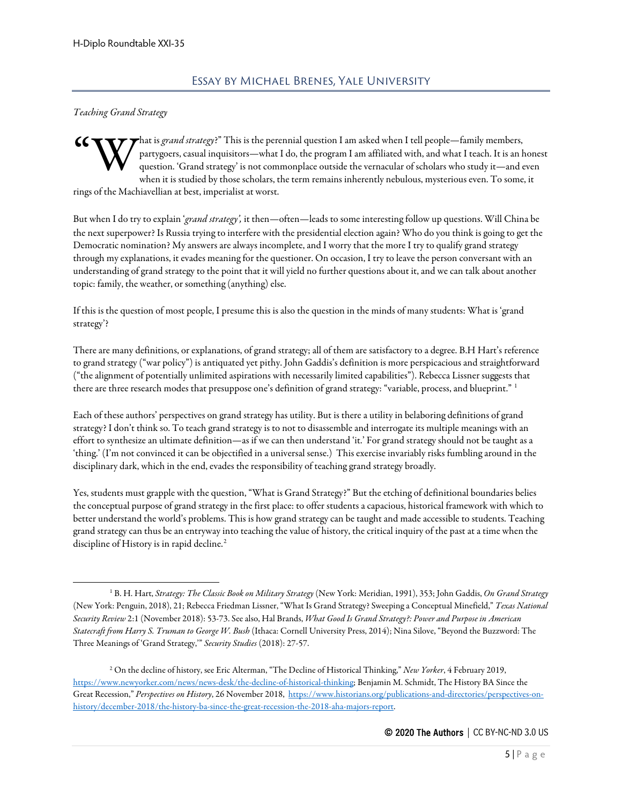#### <span id="page-4-0"></span>*Teaching Grand Strategy*

hat is *grand strategy*?" This is the perennial question I am asked when I tell people—family members, partygoers, casual inquisitors—what I do, the program I am affiliated with, and what I teach. It is an honest question. 'Grand strategy' is not commonplace outside the vernacular of scholars who study it—and even when it is studied by those scholars, the term remains inherently nebulous, mysterious even. To some, it rings of the Machiavellian at best, imperialist at worst. "W

But when I do try to explain '*grand strategy',* it then—often—leads to some interesting follow up questions. Will China be the next superpower? Is Russia trying to interfere with the presidential election again? Who do you think is going to get the Democratic nomination? My answers are always incomplete, and I worry that the more I try to qualify grand strategy through my explanations, it evades meaning for the questioner. On occasion, I try to leave the person conversant with an understanding of grand strategy to the point that it will yield no further questions about it, and we can talk about another topic: family, the weather, or something (anything) else.

If this is the question of most people, I presume this is also the question in the minds of many students: What is 'grand strategy'?

There are many definitions, or explanations, of grand strategy; all of them are satisfactory to a degree. B.H Hart's reference to grand strategy ("war policy") is antiquated yet pithy. John Gaddis's definition is more perspicacious and straightforward ("the alignment of potentially unlimited aspirations with necessarily limited capabilities"). Rebecca Lissner suggests that there are three research modes that presuppose one's definition of grand strategy: "variable, process, and blueprint." [1](#page-4-1)

Each of these authors' perspectives on grand strategy has utility. But is there a utility in belaboring definitions of grand strategy? I don't think so. To teach grand strategy is to not to disassemble and interrogate its multiple meanings with an effort to synthesize an ultimate definition—as if we can then understand 'it.' For grand strategy should not be taught as a 'thing.' (I'm not convinced it can be objectified in a universal sense.) This exercise invariably risks fumbling around in the disciplinary dark, which in the end, evades the responsibility of teaching grand strategy broadly.

Yes, students must grapple with the question, "What is Grand Strategy?" But the etching of definitional boundaries belies the conceptual purpose of grand strategy in the first place: to offer students a capacious, historical framework with which to better understand the world's problems. This is how grand strategy can be taught and made accessible to students. Teaching grand strategy can thus be an entryway into teaching the value of history, the critical inquiry of the past at a time when the discipline of History is in rapid decline.<sup>[2](#page-4-2)</sup>

<span id="page-4-1"></span><sup>1</sup> B. H. Hart, *Strategy: The Classic Book on Military Strategy* (New York: Meridian, 1991), 353; John Gaddis, *On Grand Strategy* (New York: Penguin, 2018), 21; Rebecca Friedman Lissner, "What Is Grand Strategy? Sweeping a Conceptual Minefield," *Texas National Security Review* 2:1 (November 2018): 53-73. See also, Hal Brands, *What Good Is Grand Strategy?: Power and Purpose in American Statecraft from Harry S. Truman to George W. Bush* (Ithaca: Cornell University Press, 2014); Nina Silove, "Beyond the Buzzword: The Three Meanings of 'Grand Strategy,'" *Security Studies* (2018): 27-57.

<span id="page-4-2"></span><sup>2</sup> On the decline of history, see Eric Alterman, "The Decline of Historical Thinking," *New Yorker*, 4 February 2019, [https://www.newyorker.com/news/news-desk/the-decline-of-historical-thinking;](https://www.newyorker.com/news/news-desk/the-decline-of-historical-thinking) Benjamin M. Schmidt, The History BA Since the Great Recession," *Perspectives on History*, 26 November 2018, [https://www.historians.org/publications-and-directories/perspectives-on](https://www.historians.org/publications-and-directories/perspectives-on-history/december-2018/the-history-ba-since-the-great-recession-the-2018-aha-majors-report)[history/december-2018/the-history-ba-since-the-great-recession-the-2018-aha-majors-report.](https://www.historians.org/publications-and-directories/perspectives-on-history/december-2018/the-history-ba-since-the-great-recession-the-2018-aha-majors-report)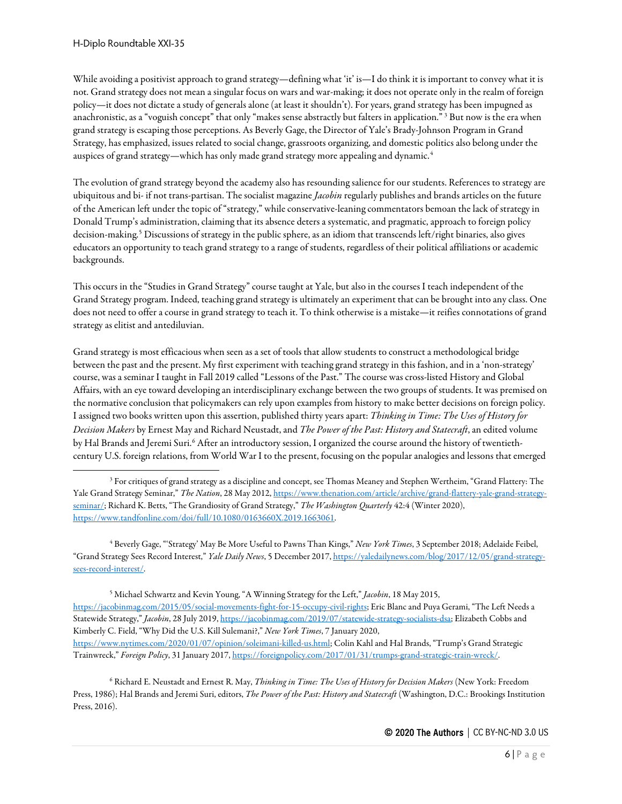While avoiding a positivist approach to grand strategy—defining what 'it' is—I do think it is important to convey what it is not. Grand strategy does not mean a singular focus on wars and war-making; it does not operate only in the realm of foreign policy—it does not dictate a study of generals alone (at least it shouldn't). For years, grand strategy has been impugned as anachronistic, as a "voguish concept" that only "makes sense abstractly but falters in application." [3](#page-5-0) But now is the era when grand strategy is escaping those perceptions. As Beverly Gage, the Director of Yale's Brady-Johnson Program in Grand Strategy, has emphasized, issues related to social change, grassroots organizing, and domestic politics also belong under the auspices of grand strategy—which has only made grand strategy more appealing and dynamic.<sup>[4](#page-5-1)</sup>

The evolution of grand strategy beyond the academy also has resounding salience for our students. References to strategy are ubiquitous and bi- if not trans-partisan. The socialist magazine *Jacobin* regularly publishes and brands articles on the future of the American left under the topic of "strategy," while conservative-leaning commentators bemoan the lack of strategy in Donald Trump's administration, claiming that its absence deters a systematic, and pragmatic, approach to foreign policy decision-making.<sup>[5](#page-5-2)</sup> Discussions of strategy in the public sphere, as an idiom that transcends left/right binaries, also gives educators an opportunity to teach grand strategy to a range of students, regardless of their political affiliations or academic backgrounds.

This occurs in the "Studies in Grand Strategy" course taught at Yale, but also in the courses I teach independent of the Grand Strategy program. Indeed, teaching grand strategy is ultimately an experiment that can be brought into any class. One does not need to offer a course in grand strategy to teach it. To think otherwise is a mistake—it reifies connotations of grand strategy as elitist and antediluvian.

Grand strategy is most efficacious when seen as a set of tools that allow students to construct a methodological bridge between the past and the present. My first experiment with teaching grand strategy in this fashion, and in a 'non-strategy' course, was a seminar I taught in Fall 2019 called "Lessons of the Past." The course was cross-listed History and Global Affairs, with an eye toward developing an interdisciplinary exchange between the two groups of students. It was premised on the normative conclusion that policymakers can rely upon examples from history to make better decisions on foreign policy. I assigned two books written upon this assertion, published thirty years apart: *Thinking in Time: The Uses of History for Decision Makers* by Ernest May and Richard Neustadt, and *The Power of the Past: History and Statecraft*, an edited volume by Hal Brands and Jeremi Suri.<sup>[6](#page-5-3)</sup> After an introductory session, I organized the course around the history of twentiethcentury U.S. foreign relations, from World War I to the present, focusing on the popular analogies and lessons that emerged

<span id="page-5-1"></span><sup>4</sup> Beverly Gage, "'Strategy' May Be More Useful to Pawns Than Kings," *New York Times*, 3 September 2018; Adelaide Feibel, "Grand Strategy Sees Record Interest," *Yale Daily News*, 5 December 2017[, https://yaledailynews.com/blog/2017/12/05/grand-strategy](https://yaledailynews.com/blog/2017/12/05/grand-strategy-sees-record-interest/)[sees-record-interest/.](https://yaledailynews.com/blog/2017/12/05/grand-strategy-sees-record-interest/)

<span id="page-5-2"></span><sup>5</sup> Michael Schwartz and Kevin Young, "A Winning Strategy for the Left," *Jacobin*, 18 May 2015, [https://jacobinmag.com/2015/05/social-movements-fight-for-15-occupy-civil-rights;](https://jacobinmag.com/2015/05/social-movements-fight-for-15-occupy-civil-rights) Eric Blanc and Puya Gerami, "The Left Needs a Statewide Strategy," *Jacobin*, 28 July 2019[, https://jacobinmag.com/2019/07/statewide-strategy-socialists-dsa;](https://jacobinmag.com/2019/07/statewide-strategy-socialists-dsa) Elizabeth Cobbs and Kimberly C. Field, "Why Did the U.S. Kill Sulemani?," *New York Times*, 7 January 2020, [https://www.nytimes.com/2020/01/07/opinion/soleimani-killed-us.html;](https://www.nytimes.com/2020/01/07/opinion/soleimani-killed-us.html) Colin Kahl and Hal Brands, "Trump's Grand Strategic Trainwreck," *Foreign Policy*, 31 January 2017[, https://foreignpolicy.com/2017/01/31/trumps-grand-strategic-train-wreck/.](https://foreignpolicy.com/2017/01/31/trumps-grand-strategic-train-wreck/)

<span id="page-5-3"></span><sup>6</sup> Richard E. Neustadt and Ernest R. May, *Thinking in Time: The Uses of History for Decision Makers* (New York: Freedom Press, 1986); Hal Brands and Jeremi Suri, editors, *The Power of the Past: History and Statecraft* (Washington, D.C.: Brookings Institution Press, 2016).

<span id="page-5-0"></span><sup>&</sup>lt;sup>3</sup> For critiques of grand strategy as a discipline and concept, see Thomas Meaney and Stephen Wertheim, "Grand Flattery: The Yale Grand Strategy Seminar," *The Nation*, 28 May 2012[, https://www.thenation.com/article/archive/grand-flattery-yale-grand-strategy](https://www.thenation.com/article/archive/grand-flattery-yale-grand-strategy-seminar/)[seminar/;](https://www.thenation.com/article/archive/grand-flattery-yale-grand-strategy-seminar/) Richard K. Betts, "The Grandiosity of Grand Strategy," *The Washington Quarterly* 42:4 (Winter 2020), [https://www.tandfonline.com/doi/full/10.1080/0163660X.2019.1663061.](https://www.tandfonline.com/doi/full/10.1080/0163660X.2019.1663061)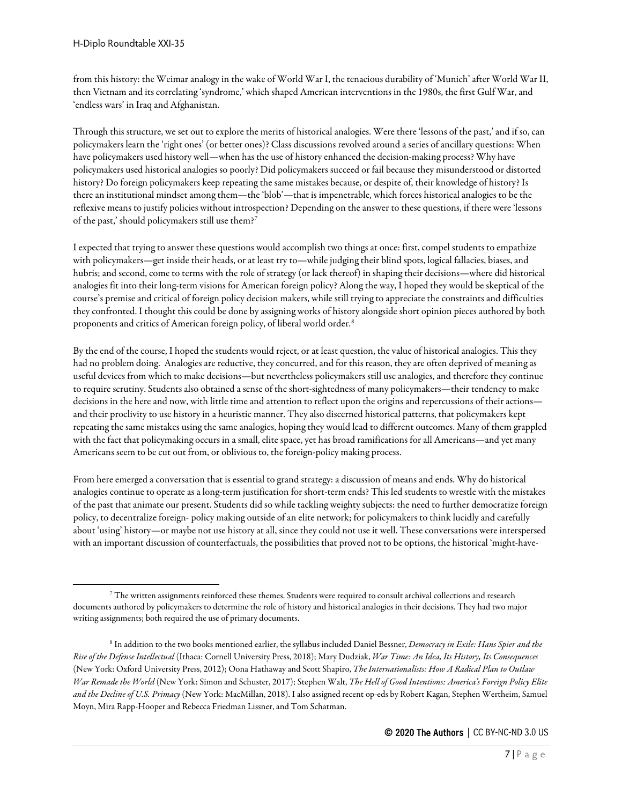from this history: the Weimar analogy in the wake of World War I, the tenacious durability of 'Munich' after World War II, then Vietnam and its correlating 'syndrome,' which shaped American interventions in the 1980s, the first Gulf War, and 'endless wars' in Iraq and Afghanistan.

Through this structure, we set out to explore the merits of historical analogies. Were there 'lessons of the past,' and if so, can policymakers learn the 'right ones' (or better ones)? Class discussions revolved around a series of ancillary questions: When have policymakers used history well—when has the use of history enhanced the decision-making process? Why have policymakers used historical analogies so poorly? Did policymakers succeed or fail because they misunderstood or distorted history? Do foreign policymakers keep repeating the same mistakes because, or despite of, their knowledge of history? Is there an institutional mindset among them—the 'blob'—that is impenetrable, which forces historical analogies to be the reflexive means to justify policies without introspection? Depending on the answer to these questions, if there were 'lessons of the past,' should policymakers still use them?[7](#page-6-0)

I expected that trying to answer these questions would accomplish two things at once: first, compel students to empathize with policymakers—get inside their heads, or at least try to—while judging their blind spots, logical fallacies, biases, and hubris; and second, come to terms with the role of strategy (or lack thereof) in shaping their decisions—where did historical analogies fit into their long-term visions for American foreign policy? Along the way, I hoped they would be skeptical of the course's premise and critical of foreign policy decision makers, while still trying to appreciate the constraints and difficulties they confronted. I thought this could be done by assigning works of history alongside short opinion pieces authored by both proponents and critics of American foreign policy, of liberal world order.<sup>[8](#page-6-1)</sup>

By the end of the course, I hoped the students would reject, or at least question, the value of historical analogies. This they had no problem doing. Analogies are reductive, they concurred, and for this reason, they are often deprived of meaning as useful devices from which to make decisions—but nevertheless policymakers still use analogies, and therefore they continue to require scrutiny. Students also obtained a sense of the short-sightedness of many policymakers—their tendency to make decisions in the here and now, with little time and attention to reflect upon the origins and repercussions of their actions and their proclivity to use history in a heuristic manner. They also discerned historical patterns, that policymakers kept repeating the same mistakes using the same analogies, hoping they would lead to different outcomes. Many of them grappled with the fact that policymaking occurs in a small, elite space, yet has broad ramifications for all Americans—and yet many Americans seem to be cut out from, or oblivious to, the foreign-policy making process.

From here emerged a conversation that is essential to grand strategy: a discussion of means and ends. Why do historical analogies continue to operate as a long-term justification for short-term ends? This led students to wrestle with the mistakes of the past that animate our present. Students did so while tackling weighty subjects: the need to further democratize foreign policy, to decentralize foreign- policy making outside of an elite network; for policymakers to think lucidly and carefully about 'using' history—or maybe not use history at all, since they could not use it well. These conversations were interspersed with an important discussion of counterfactuals, the possibilities that proved not to be options, the historical 'might-have-

<span id="page-6-0"></span><sup>7</sup> The written assignments reinforced these themes. Students were required to consult archival collections and research documents authored by policymakers to determine the role of history and historical analogies in their decisions. They had two major writing assignments; both required the use of primary documents.

<span id="page-6-1"></span><sup>8</sup> In addition to the two books mentioned earlier, the syllabus included Daniel Bessner, *Democracy in Exile: Hans Spier and the Rise of the Defense Intellectual* (Ithaca: Cornell University Press, 2018); Mary Dudziak, *War Time: An Idea, Its History, Its Consequences* (New York: Oxford University Press, 2012); Oona Hathaway and Scott Shapiro, *The Internationalists: How A Radical Plan to Outlaw War Remade the World* (New York: Simon and Schuster, 2017); Stephen Walt, *The Hell of Good Intentions: America's Foreign Policy Elite and the Decline of U.S. Primacy* (New York: MacMillan, 2018). I also assigned recent op-eds by Robert Kagan, Stephen Wertheim, Samuel Moyn, Mira Rapp-Hooper and Rebecca Friedman Lissner, and Tom Schatman.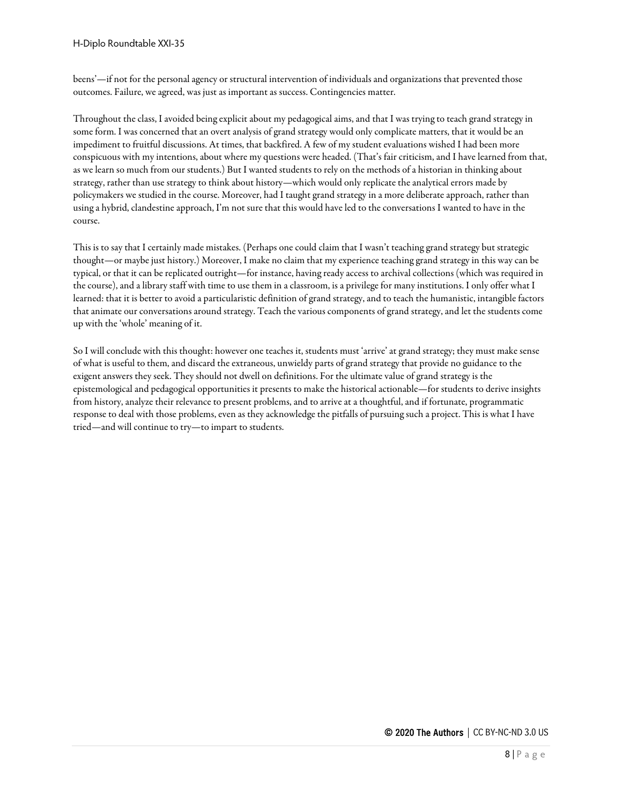beens'—if not for the personal agency or structural intervention of individuals and organizations that prevented those outcomes. Failure, we agreed, was just as important as success. Contingencies matter.

Throughout the class, I avoided being explicit about my pedagogical aims, and that I was trying to teach grand strategy in some form. I was concerned that an overt analysis of grand strategy would only complicate matters, that it would be an impediment to fruitful discussions. At times, that backfired. A few of my student evaluations wished I had been more conspicuous with my intentions, about where my questions were headed. (That's fair criticism, and I have learned from that, as we learn so much from our students.) But I wanted students to rely on the methods of a historian in thinking about strategy, rather than use strategy to think about history—which would only replicate the analytical errors made by policymakers we studied in the course. Moreover, had I taught grand strategy in a more deliberate approach, rather than using a hybrid, clandestine approach, I'm not sure that this would have led to the conversations I wanted to have in the course.

This is to say that I certainly made mistakes. (Perhaps one could claim that I wasn't teaching grand strategy but strategic thought—or maybe just history.) Moreover, I make no claim that my experience teaching grand strategy in this way can be typical, or that it can be replicated outright—for instance, having ready access to archival collections (which was required in the course), and a library staff with time to use them in a classroom, is a privilege for many institutions. I only offer what I learned: that it is better to avoid a particularistic definition of grand strategy, and to teach the humanistic, intangible factors that animate our conversations around strategy. Teach the various components of grand strategy, and let the students come up with the 'whole' meaning of it.

So I will conclude with this thought: however one teaches it, students must 'arrive' at grand strategy; they must make sense of what is useful to them, and discard the extraneous, unwieldy parts of grand strategy that provide no guidance to the exigent answers they seek. They should not dwell on definitions. For the ultimate value of grand strategy is the epistemological and pedagogical opportunities it presents to make the historical actionable—for students to derive insights from history, analyze their relevance to present problems, and to arrive at a thoughtful, and if fortunate, programmatic response to deal with those problems, even as they acknowledge the pitfalls of pursuing such a project. This is what I have tried—and will continue to try—to impart to students.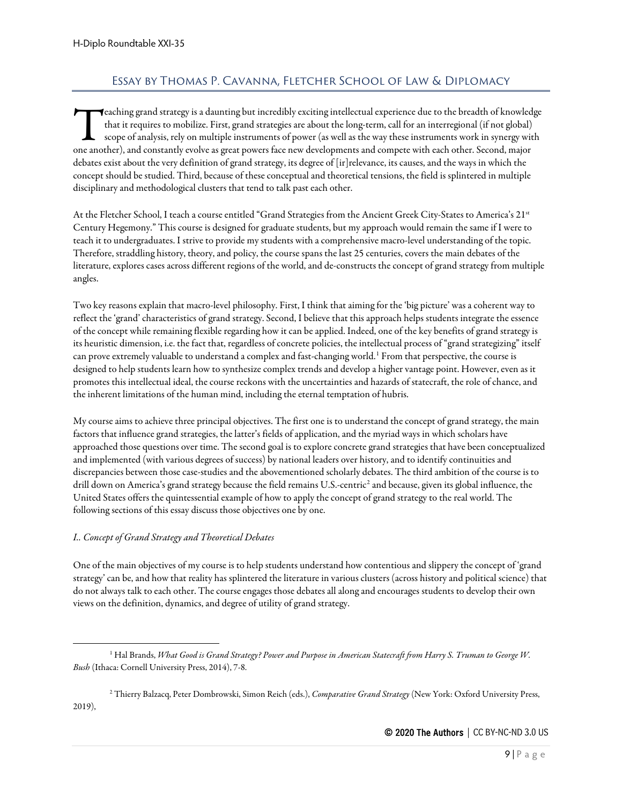# Essay by Thomas P. Cavanna, Fletcher School of Law & Diplomacy

<span id="page-8-0"></span> $\blacktriangleleft$ eaching grand strategy is a daunting but incredibly exciting intellectual experience due to the breadth of knowledge that it requires to mobilize. First, grand strategies are about the long-term, call for an interregional (if not global) scope of analysis, rely on multiple instruments of power (as well as the way these instruments work in synergy with **C**eaching grand strategy is a daunting but incredibly exciting intellectual experience due to the breadth of knowled<br>that it requires to mobilize. First, grand strategies are about the long-term, call for an interregional debates exist about the very definition of grand strategy, its degree of [ir]relevance, its causes, and the ways in which the concept should be studied. Third, because of these conceptual and theoretical tensions, the field is splintered in multiple disciplinary and methodological clusters that tend to talk past each other.

At the Fletcher School, I teach a course entitled "Grand Strategies from the Ancient Greek City-States to America's 21st Century Hegemony." This course is designed for graduate students, but my approach would remain the same if I were to teach it to undergraduates. I strive to provide my students with a comprehensive macro-level understanding of the topic. Therefore, straddling history, theory, and policy, the course spans the last 25 centuries, covers the main debates of the literature, explores cases across different regions of the world, and de-constructs the concept of grand strategy from multiple angles.

Two key reasons explain that macro-level philosophy. First, I think that aiming for the 'big picture' was a coherent way to reflect the 'grand' characteristics of grand strategy. Second, I believe that this approach helps students integrate the essence of the concept while remaining flexible regarding how it can be applied. Indeed, one of the key benefits of grand strategy is its heuristic dimension, i.e. the fact that, regardless of concrete policies, the intellectual process of "grand strategizing" itself can prove extremely valuable to understand a complex and fast-changing world.<sup>[1](#page-8-1)</sup> From that perspective, the course is designed to help students learn how to synthesize complex trends and develop a higher vantage point. However, even as it promotes this intellectual ideal, the course reckons with the uncertainties and hazards of statecraft, the role of chance, and the inherent limitations of the human mind, including the eternal temptation of hubris.

My course aims to achieve three principal objectives. The first one is to understand the concept of grand strategy, the main factors that influence grand strategies, the latter's fields of application, and the myriad ways in which scholars have approached those questions over time. The second goal is to explore concrete grand strategies that have been conceptualized and implemented (with various degrees of success) by national leaders over history, and to identify continuities and discrepancies between those case-studies and the abovementioned scholarly debates. The third ambition of the course is to drill down on America's grand strategy because the field remains U.S.-centric<sup>[2](#page-8-2)</sup> and because, given its global influence, the United States offers the quintessential example of how to apply the concept of grand strategy to the real world. The following sections of this essay discuss those objectives one by one.

## *I.. Concept of Grand Strategy and Theoretical Debates*

One of the main objectives of my course is to help students understand how contentious and slippery the concept of 'grand strategy' can be, and how that reality has splintered the literature in various clusters (across history and political science) that do not always talk to each other. The course engages those debates all along and encourages students to develop their own views on the definition, dynamics, and degree of utility of grand strategy.

<span id="page-8-2"></span><sup>2</sup> Thierry Balzacq, Peter Dombrowski, Simon Reich (eds.), *Comparative Grand Strategy* (New York: Oxford University Press, 2019),

<span id="page-8-1"></span><sup>1</sup> Hal Brands, *What Good is Grand Strategy? Power and Purpose in American Statecraft from Harry S. Truman to George W. Bush* (Ithaca: Cornell University Press, 2014), 7-8.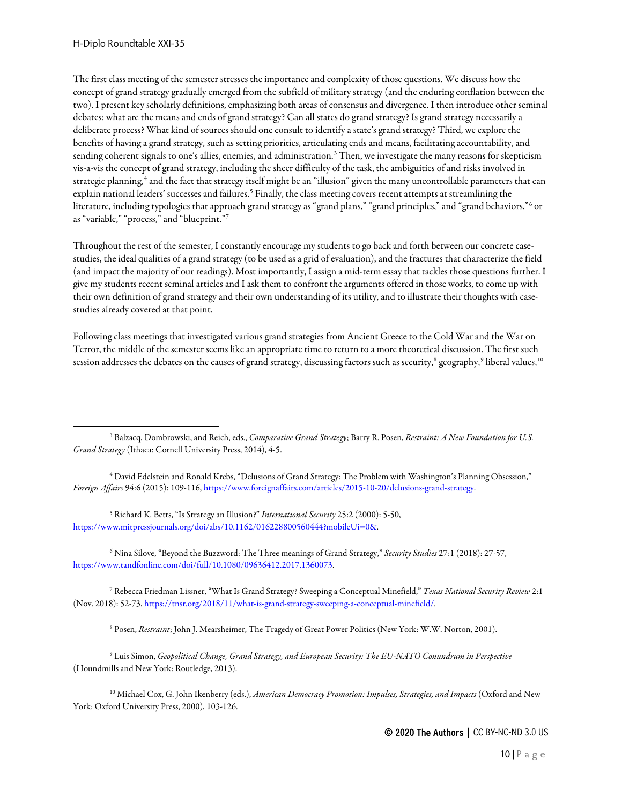The first class meeting of the semester stresses the importance and complexity of those questions. We discuss how the concept of grand strategy gradually emerged from the subfield of military strategy (and the enduring conflation between the two). I present key scholarly definitions, emphasizing both areas of consensus and divergence. I then introduce other seminal debates: what are the means and ends of grand strategy? Can all states do grand strategy? Is grand strategy necessarily a deliberate process? What kind of sources should one consult to identify a state's grand strategy? Third, we explore the benefits of having a grand strategy, such as setting priorities, articulating ends and means, facilitating accountability, and sending coherent signals to one's allies, enemies, and administration.<sup>[3](#page-9-0)</sup> Then, we investigate the many reasons for skepticism vis-a-vis the concept of grand strategy, including the sheer difficulty of the task, the ambiguities of and risks involved in strategic planning,<sup>[4](#page-9-1)</sup> and the fact that strategy itself might be an "illusion" given the many uncontrollable parameters that can explain national leaders' successes and failures.<sup>[5](#page-9-2)</sup> Finally, the class meeting covers recent attempts at streamlining the literature, including typologies that approach grand strategy as "grand plans," "grand principles," and "grand behaviors," or as "variable," "process," and "blueprint."[7](#page-9-4)

Throughout the rest of the semester, I constantly encourage my students to go back and forth between our concrete casestudies, the ideal qualities of a grand strategy (to be used as a grid of evaluation), and the fractures that characterize the field (and impact the majority of our readings). Most importantly, I assign a mid-term essay that tackles those questions further. I give my students recent seminal articles and I ask them to confront the arguments offered in those works, to come up with their own definition of grand strategy and their own understanding of its utility, and to illustrate their thoughts with casestudies already covered at that point.

Following class meetings that investigated various grand strategies from Ancient Greece to the Cold War and the War on Terror, the middle of the semester seems like an appropriate time to return to a more theoretical discussion. The first such session addresses the debates on the causes of grand strategy, discussing factors such as security,<sup>[8](#page-9-5)</sup> geography,<sup>[9](#page-9-6)</sup> liberal values,<sup>[10](#page-9-7)</sup>

<span id="page-9-1"></span><sup>4</sup> David Edelstein and Ronald Krebs, "Delusions of Grand Strategy: The Problem with Washington's Planning Obsession," *Foreign Affairs* 94:6 (2015): 109-116[, https://www.foreignaffairs.com/articles/2015-10-20/delusions-grand-strategy.](https://www.foreignaffairs.com/articles/2015-10-20/delusions-grand-strategy)

<span id="page-9-2"></span><sup>5</sup> Richard K. Betts, "Is Strategy an Illusion?" *International Security* 25:2 (2000): 5-50, [https://www.mitpressjournals.org/doi/abs/10.1162/016228800560444?mobileUi=0&.](https://www.mitpressjournals.org/doi/abs/10.1162/016228800560444?mobileUi=0&)

<span id="page-9-3"></span><sup>6</sup> Nina Silove, "Beyond the Buzzword: The Three meanings of Grand Strategy," *Security Studies* 27:1 (2018): 27-57, [https://www.tandfonline.com/doi/full/10.1080/09636412.2017.1360073.](https://www.tandfonline.com/doi/full/10.1080/09636412.2017.1360073)

<span id="page-9-4"></span><sup>7</sup> Rebecca Friedman Lissner, "What Is Grand Strategy? Sweeping a Conceptual Minefield," *Texas National Security Review* 2:1 (Nov. 2018): 52-73[, https://tnsr.org/2018/11/what-is-grand-strategy-sweeping-a-conceptual-minefield/.](https://tnsr.org/2018/11/what-is-grand-strategy-sweeping-a-conceptual-minefield/)

<sup>8</sup> Posen, *Restraint*; John J. Mearsheimer, The Tragedy of Great Power Politics (New York: W.W. Norton, 2001).

<span id="page-9-6"></span><span id="page-9-5"></span><sup>9</sup> Luis Simon, *Geopolitical Change, Grand Strategy, and European Security: The EU-NATO Conundrum in Perspective* (Houndmills and New York: Routledge, 2013).

<span id="page-9-7"></span><sup>10</sup> Michael Cox, G. John Ikenberry (eds.), *American Democracy Promotion: Impulses, Strategies, and Impacts* (Oxford and New York: Oxford University Press, 2000), 103-126.

<span id="page-9-0"></span><sup>3</sup> Balzacq, Dombrowski, and Reich, eds., *Comparative Grand Strategy*; Barry R. Posen, *Restraint: A New Foundation for U.S. Grand Strategy* (Ithaca: Cornell University Press, 2014), 4-5.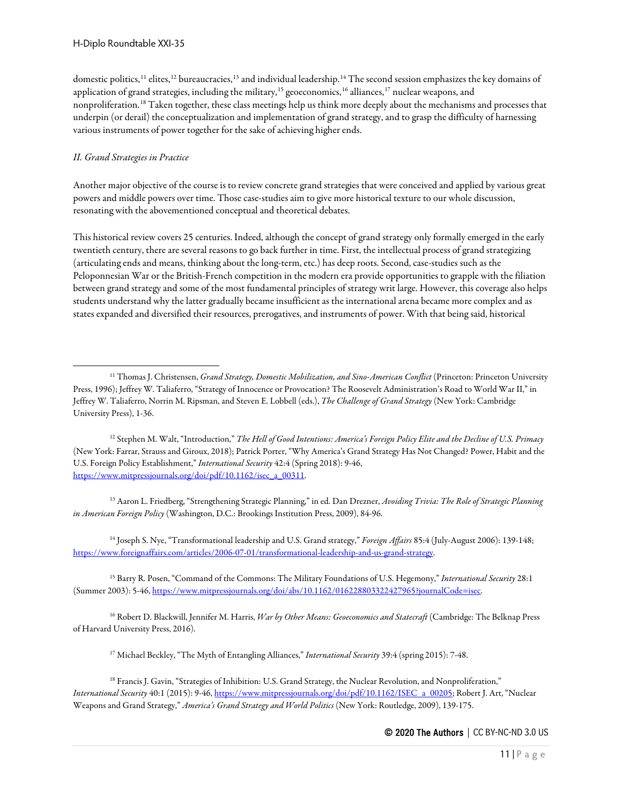domestic politics,<sup>[11](#page-10-0)</sup> elites,<sup>[12](#page-10-1)</sup> bureaucracies,<sup>[13](#page-10-2)</sup> and individual leadership.<sup>[14](#page-10-3)</sup> The second session emphasizes the key domains of application of grand strategies, including the military,<sup>[15](#page-10-4)</sup> geoeconomics,<sup>[16](#page-10-5)</sup> alliances,<sup>[17](#page-10-6)</sup> nuclear weapons, and nonproliferation.[18](#page-10-7) Taken together, these class meetings help us think more deeply about the mechanisms and processes that underpin (or derail) the conceptualization and implementation of grand strategy, and to grasp the difficulty of harnessing various instruments of power together for the sake of achieving higher ends.

## *II. Grand Strategies in Practice*

Another major objective of the course is to review concrete grand strategies that were conceived and applied by various great powers and middle powers over time. Those case-studies aim to give more historical texture to our whole discussion, resonating with the abovementioned conceptual and theoretical debates.

This historical review covers 25 centuries. Indeed, although the concept of grand strategy only formally emerged in the early twentieth century, there are several reasons to go back further in time. First, the intellectual process of grand strategizing (articulating ends and means, thinking about the long-term, etc.) has deep roots. Second, case-studies such as the Peloponnesian War or the British-French competition in the modern era provide opportunities to grapple with the filiation between grand strategy and some of the most fundamental principles of strategy writ large. However, this coverage also helps students understand why the latter gradually became insufficient as the international arena became more complex and as states expanded and diversified their resources, prerogatives, and instruments of power. With that being said, historical

<span id="page-10-1"></span><sup>12</sup> Stephen M. Walt, "Introduction," *The Hell of Good Intentions: America's Foreign Policy Elite and the Decline of U.S. Primacy* (New York: Farrar, Strauss and Giroux, 2018); Patrick Porter, "Why America's Grand Strategy Has Not Changed? Power, Habit and the U.S. Foreign Policy Establishment," *International Security* 42:4 (Spring 2018): 9-46, [https://www.mitpressjournals.org/doi/pdf/10.1162/isec\\_a\\_00311.](https://www.mitpressjournals.org/doi/pdf/10.1162/isec_a_00311)

<span id="page-10-2"></span><sup>13</sup> Aaron L. Friedberg, "Strengthening Strategic Planning," in ed. Dan Drezner, *Avoiding Trivia: The Role of Strategic Planning in American Foreign Policy* (Washington, D.C.: Brookings Institution Press, 2009), 84-96.

<span id="page-10-3"></span><sup>14</sup> Joseph S. Nye, "Transformational leadership and U.S. Grand strategy," *Foreign Affairs* 85:4 (July-August 2006): 139-148; [https://www.foreignaffairs.com/articles/2006-07-01/transformational-leadership-and-us-grand-strategy.](https://www.foreignaffairs.com/articles/2006-07-01/transformational-leadership-and-us-grand-strategy)

<span id="page-10-4"></span><sup>15</sup> Barry R. Posen, "Command of the Commons: The Military Foundations of U.S. Hegemony," *International Security* 28:1 (Summer 2003): 5-46[, https://www.mitpressjournals.org/doi/abs/10.1162/016228803322427965?journalCode=isec.](https://www.mitpressjournals.org/doi/abs/10.1162/016228803322427965?journalCode=isec)

<span id="page-10-5"></span><sup>16</sup> Robert D. Blackwill, Jennifer M. Harris, *War by Other Means: Geoeconomics and Statecraft* (Cambridge: The Belknap Press of Harvard University Press, 2016).

<sup>17</sup> Michael Beckley, "The Myth of Entangling Alliances," *International Security* 39:4 (spring 2015): 7-48.

<span id="page-10-0"></span><sup>&</sup>lt;sup>11</sup> Thomas J. Christensen, *Grand Strategy, Domestic Mobilization, and Sino-American Conflict* (Princeton: Princeton University Press, 1996); Jeffrey W. Taliaferro, "Strategy of Innocence or Provocation? The Roosevelt Administration's Road to World War II," in Jeffrey W. Taliaferro, Norrin M. Ripsman, and Steven E. Lobbell (eds.), *The Challenge of Grand Strategy* (New York: Cambridge University Press), 1-36.

<span id="page-10-7"></span><span id="page-10-6"></span><sup>&</sup>lt;sup>18</sup> Francis J. Gavin, "Strategies of Inhibition: U.S. Grand Strategy, the Nuclear Revolution, and Nonproliferation," *International Security* 40:1 (2015): 9-46[, https://www.mitpressjournals.org/doi/pdf/10.1162/ISEC\\_a\\_00205;](https://www.mitpressjournals.org/doi/pdf/10.1162/ISEC_a_00205) Robert J. Art, "Nuclear Weapons and Grand Strategy," *America's Grand Strategy and World Politics* (New York: Routledge, 2009), 139-175.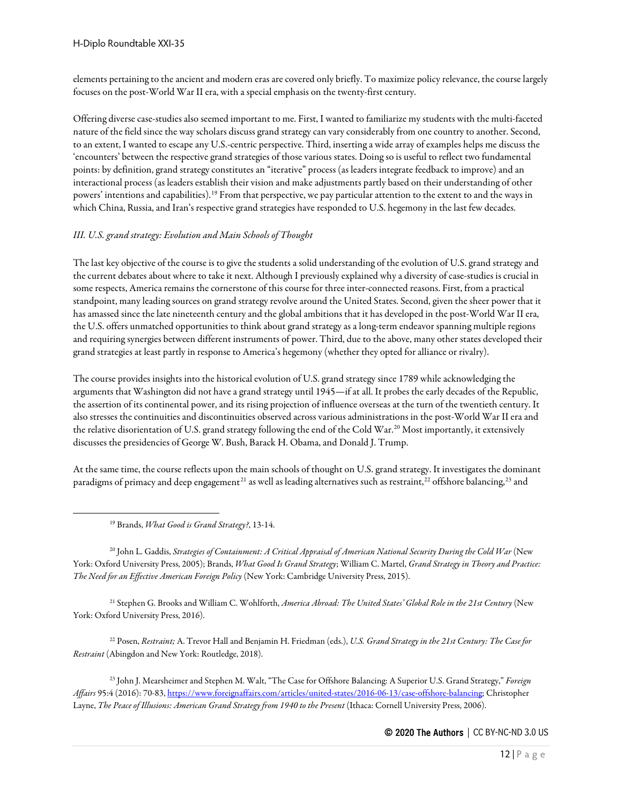H-Diplo Roundtable XXI-35

elements pertaining to the ancient and modern eras are covered only briefly. To maximize policy relevance, the course largely focuses on the post-World War II era, with a special emphasis on the twenty-first century.

Offering diverse case-studies also seemed important to me. First, I wanted to familiarize my students with the multi-faceted nature of the field since the way scholars discuss grand strategy can vary considerably from one country to another. Second, to an extent, I wanted to escape any U.S.-centric perspective. Third, inserting a wide array of examples helps me discuss the 'encounters' between the respective grand strategies of those various states. Doing so is useful to reflect two fundamental points: by definition, grand strategy constitutes an "iterative" process (as leaders integrate feedback to improve) and an interactional process (as leaders establish their vision and make adjustments partly based on their understanding of other powers' intentions and capabilities).[19](#page-11-0) From that perspective, we pay particular attention to the extent to and the ways in which China, Russia, and Iran's respective grand strategies have responded to U.S. hegemony in the last few decades.

#### *III. U.S. grand strategy: Evolution and Main Schools of Thought*

The last key objective of the course is to give the students a solid understanding of the evolution of U.S. grand strategy and the current debates about where to take it next. Although I previously explained why a diversity of case-studies is crucial in some respects, America remains the cornerstone of this course for three inter-connected reasons. First, from a practical standpoint, many leading sources on grand strategy revolve around the United States. Second, given the sheer power that it has amassed since the late nineteenth century and the global ambitions that it has developed in the post-World War II era, the U.S. offers unmatched opportunities to think about grand strategy as a long-term endeavor spanning multiple regions and requiring synergies between different instruments of power. Third, due to the above, many other states developed their grand strategies at least partly in response to America's hegemony (whether they opted for alliance or rivalry).

The course provides insights into the historical evolution of U.S. grand strategy since 1789 while acknowledging the arguments that Washington did not have a grand strategy until 1945—if at all. It probes the early decades of the Republic, the assertion of its continental power, and its rising projection of influence overseas at the turn of the twentieth century. It also stresses the continuities and discontinuities observed across various administrations in the post-World War II era and the relative disorientation of U.S. grand strategy following the end of the Cold War.<sup>[20](#page-11-1)</sup> Most importantly, it extensively discusses the presidencies of George W. Bush, Barack H. Obama, and Donald J. Trump.

At the same time, the course reflects upon the main schools of thought on U.S. grand strategy. It investigates the dominant paradigms of primacy and deep engagement<sup>[21](#page-11-2)</sup> as well as leading alternatives such as restraint,<sup>[22](#page-11-3)</sup> offshore balancing,<sup>[23](#page-11-4)</sup> and

<sup>19</sup> Brands, *What Good is Grand Strategy?*, 13-14.

<span id="page-11-1"></span><span id="page-11-0"></span><sup>20</sup> John L. Gaddis, *Strategies of Containment: A Critical Appraisal of American National Security During the Cold War* (New York: Oxford University Press, 2005); Brands, *What Good Is Grand Strategy*; William C. Martel, *Grand Strategy in Theory and Practice: The Need for an Effective American Foreign Policy* (New York: Cambridge University Press, 2015).

<span id="page-11-2"></span><sup>21</sup> Stephen G. Brooks and William C. Wohlforth, *America Abroad: The United States' Global Role in the 21st Century* (New York: Oxford University Press, 2016).

<span id="page-11-3"></span><sup>22</sup> Posen, *Restraint;* A. Trevor Hall and Benjamin H. Friedman (eds.), *U.S. Grand Strategy in the 21st Century: The Case for Restraint* (Abingdon and New York: Routledge, 2018).

<span id="page-11-4"></span><sup>23</sup> John J. Mearsheimer and Stephen M. Walt, "The Case for Offshore Balancing: A Superior U.S. Grand Strategy," *Foreign Affairs* 95:4 (2016): 70-83[, https://www.foreignaffairs.com/articles/united-states/2016-06-13/case-offshore-balancing;](https://www.foreignaffairs.com/articles/united-states/2016-06-13/case-offshore-balancing) Christopher Layne, *The Peace of Illusions: American Grand Strategy from 1940 to the Present* (Ithaca: Cornell University Press, 2006).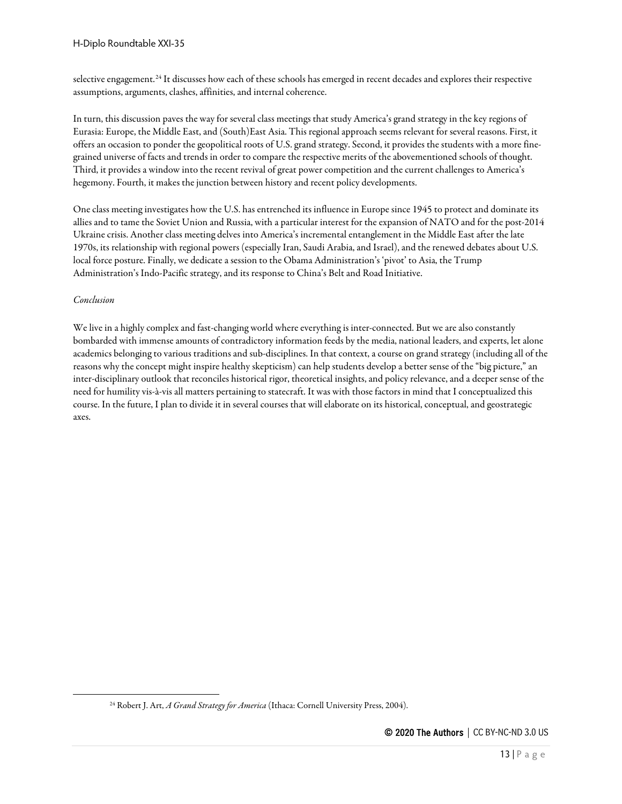selective engagement.[24](#page-12-0) It discusses how each of these schools has emerged in recent decades and explores their respective assumptions, arguments, clashes, affinities, and internal coherence.

In turn, this discussion paves the way for several class meetings that study America's grand strategy in the key regions of Eurasia: Europe, the Middle East, and (South)East Asia. This regional approach seems relevant for several reasons. First, it offers an occasion to ponder the geopolitical roots of U.S. grand strategy. Second, it provides the students with a more finegrained universe of facts and trends in order to compare the respective merits of the abovementioned schools of thought. Third, it provides a window into the recent revival of great power competition and the current challenges to America's hegemony. Fourth, it makes the junction between history and recent policy developments.

One class meeting investigates how the U.S. has entrenched its influence in Europe since 1945 to protect and dominate its allies and to tame the Soviet Union and Russia, with a particular interest for the expansion of NATO and for the post-2014 Ukraine crisis. Another class meeting delves into America's incremental entanglement in the Middle East after the late 1970s, its relationship with regional powers (especially Iran, Saudi Arabia, and Israel), and the renewed debates about U.S. local force posture. Finally, we dedicate a session to the Obama Administration's 'pivot' to Asia, the Trump Administration's Indo-Pacific strategy, and its response to China's Belt and Road Initiative.

#### *Conclusion*

We live in a highly complex and fast-changing world where everything is inter-connected. But we are also constantly bombarded with immense amounts of contradictory information feeds by the media, national leaders, and experts, let alone academics belonging to various traditions and sub-disciplines. In that context, a course on grand strategy (including all of the reasons why the concept might inspire healthy skepticism) can help students develop a better sense of the "big picture," an inter-disciplinary outlook that reconciles historical rigor, theoretical insights, and policy relevance, and a deeper sense of the need for humility vis-à-vis all matters pertaining to statecraft. It was with those factors in mind that I conceptualized this course. In the future, I plan to divide it in several courses that will elaborate on its historical, conceptual, and geostrategic axes.

<span id="page-12-0"></span><sup>&</sup>lt;sup>24</sup> Robert J. Art, *A Grand Strategy for America* (Ithaca: Cornell University Press, 2004).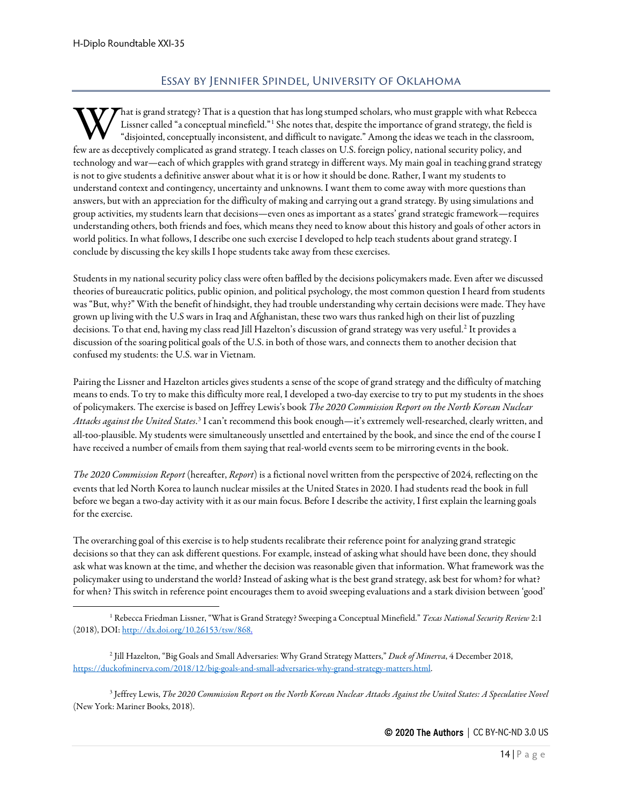# Essay by Jennifer Spindel, University of Oklahoma

<span id="page-13-0"></span>That is grand strategy? That is a question that has long stumped scholars, who must grapple with what Rebecca Lissner called "a conceptual minefield."[1](#page-13-1) She notes that, despite the importance of grand strategy, the field is "disjointed, conceptually inconsistent, and difficult to navigate." Among the ideas we teach in the classroom, **follogy** are as deceptively complicated as grand strategy. I teach classes on U.S. foreign policy, national security policy, and few are as deceptively complicated as grand strategy. I teach classes on U.S. foreign policy technology and war—each of which grapples with grand strategy in different ways. My main goal in teaching grand strategy is not to give students a definitive answer about what it is or how it should be done. Rather, I want my students to understand context and contingency, uncertainty and unknowns. I want them to come away with more questions than answers, but with an appreciation for the difficulty of making and carrying out a grand strategy. By using simulations and group activities, my students learn that decisions—even ones as important as a states' grand strategic framework—requires understanding others, both friends and foes, which means they need to know about this history and goals of other actors in world politics. In what follows, I describe one such exercise I developed to help teach students about grand strategy. I conclude by discussing the key skills I hope students take away from these exercises.

Students in my national security policy class were often baffled by the decisions policymakers made. Even after we discussed theories of bureaucratic politics, public opinion, and political psychology, the most common question I heard from students was "But, why?" With the benefit of hindsight, they had trouble understanding why certain decisions were made. They have grown up living with the U.S wars in Iraq and Afghanistan, these two wars thus ranked high on their list of puzzling decisions. To that end, having my class read Jill Hazelton's discussion of grand strategy was very useful.[2](#page-13-2) It provides a discussion of the soaring political goals of the U.S. in both of those wars, and connects them to another decision that confused my students: the U.S. war in Vietnam.

Pairing the Lissner and Hazelton articles gives students a sense of the scope of grand strategy and the difficulty of matching means to ends. To try to make this difficulty more real, I developed a two-day exercise to try to put my students in the shoes of policymakers. The exercise is based on Jeffrey Lewis's book *The 2020 Commission Report on the North Korean Nuclear Attacks against the United States*. [3](#page-13-3) I can't recommend this book enough—it's extremely well-researched, clearly written, and all-too-plausible. My students were simultaneously unsettled and entertained by the book, and since the end of the course I have received a number of emails from them saying that real-world events seem to be mirroring events in the book.

*The 2020 Commission Report* (hereafter, *Report*) is a fictional novel written from the perspective of 2024, reflecting on the events that led North Korea to launch nuclear missiles at the United States in 2020. I had students read the book in full before we began a two-day activity with it as our main focus. Before I describe the activity, I first explain the learning goals for the exercise.

The overarching goal of this exercise is to help students recalibrate their reference point for analyzing grand strategic decisions so that they can ask different questions. For example, instead of asking what should have been done, they should ask what was known at the time, and whether the decision was reasonable given that information. What framework was the policymaker using to understand the world? Instead of asking what is the best grand strategy, ask best for whom? for what? for when? This switch in reference point encourages them to avoid sweeping evaluations and a stark division between 'good'

<span id="page-13-3"></span><sup>3</sup> Jeffrey Lewis, *The 2020 Commission Report on the North Korean Nuclear Attacks Against the United States: A Speculative Novel* (New York: Mariner Books, 2018).

<span id="page-13-1"></span><sup>1</sup> Rebecca Friedman Lissner, "What is Grand Strategy? Sweeping a Conceptual Minefield." *Texas National Security Review* 2:1 (2018), DOI[: http://dx.doi.org/10.26153/tsw/868.](http://dx.doi.org/10.26153/tsw/868)

<span id="page-13-2"></span><sup>2</sup> Jill Hazelton, "Big Goals and Small Adversaries: Why Grand Strategy Matters," *Duck of Minerva*, 4 December 2018, [https://duckofminerva.com/2018/12/big-goals-and-small-adversaries-why-grand-strategy-matters.html.](https://duckofminerva.com/2018/12/big-goals-and-small-adversaries-why-grand-strategy-matters.html)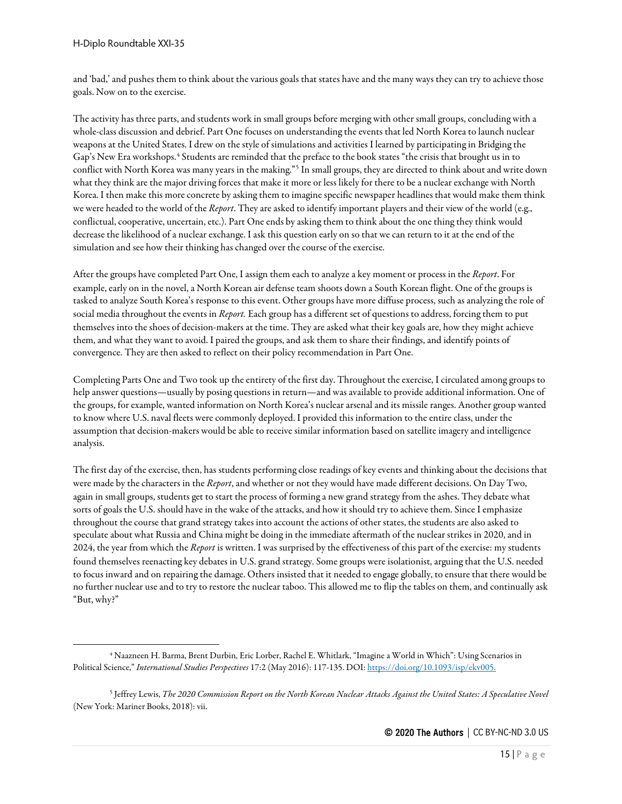and 'bad,' and pushes them to think about the various goals that states have and the many ways they can try to achieve those goals. Now on to the exercise.

The activity has three parts, and students work in small groups before merging with other small groups, concluding with a whole-class discussion and debrief. Part One focuses on understanding the events that led North Korea to launch nuclear weapons at the United States. I drew on the style of simulations and activities I learned by participating in Bridging the Gap's New Era workshops.<sup>[4](#page-14-0)</sup> Students are reminded that the preface to the book states "the crisis that brought us in to conflict with North Korea was many years in the making."[5](#page-14-1) In small groups, they are directed to think about and write down what they think are the major driving forces that make it more or less likely for there to be a nuclear exchange with North Korea. I then make this more concrete by asking them to imagine specific newspaper headlines that would make them think we were headed to the world of the *Report*. They are asked to identify important players and their view of the world (e.g., conflictual, cooperative, uncertain, etc.). Part One ends by asking them to think about the one thing they think would decrease the likelihood of a nuclear exchange. I ask this question early on so that we can return to it at the end of the simulation and see how their thinking has changed over the course of the exercise.

After the groups have completed Part One, I assign them each to analyze a key moment or process in the *Report*. For example, early on in the novel, a North Korean air defense team shoots down a South Korean flight. One of the groups is tasked to analyze South Korea's response to this event. Other groups have more diffuse process, such as analyzing the role of social media throughout the events in *Report.* Each group has a different set of questions to address, forcing them to put themselves into the shoes of decision-makers at the time. They are asked what their key goals are, how they might achieve them, and what they want to avoid. I paired the groups, and ask them to share their findings, and identify points of convergence. They are then asked to reflect on their policy recommendation in Part One.

Completing Parts One and Two took up the entirety of the first day. Throughout the exercise, I circulated among groups to help answer questions—usually by posing questions in return—and was available to provide additional information. One of the groups, for example, wanted information on North Korea's nuclear arsenal and its missile ranges. Another group wanted to know where U.S. naval fleets were commonly deployed. I provided this information to the entire class, under the assumption that decision-makers would be able to receive similar information based on satellite imagery and intelligence analysis.

The first day of the exercise, then, has students performing close readings of key events and thinking about the decisions that were made by the characters in the *Report*, and whether or not they would have made different decisions. On Day Two, again in small groups, students get to start the process of forming a new grand strategy from the ashes. They debate what sorts of goals the U.S. should have in the wake of the attacks, and how it should try to achieve them. Since I emphasize throughout the course that grand strategy takes into account the actions of other states, the students are also asked to speculate about what Russia and China might be doing in the immediate aftermath of the nuclear strikes in 2020, and in 2024, the year from which the *Report* is written. I was surprised by the effectiveness of this part of the exercise: my students found themselves reenacting key debates in U.S. grand strategy. Some groups were isolationist, arguing that the U.S. needed to focus inward and on repairing the damage. Others insisted that it needed to engage globally, to ensure that there would be no further nuclear use and to try to restore the nuclear taboo. This allowed me to flip the tables on them, and continually ask "But, why?"

<span id="page-14-0"></span><sup>4</sup> Naazneen H. Barma, Brent Durbin, Eric Lorber, Rachel E. Whitlark, "Imagine a World in Which": Using Scenarios in Political Science," *International Studies Perspectives* 17:2 (May 2016): 117-135. DOI[: https://doi.org/10.1093/isp/ekv005.](https://doi.org/10.1093/isp/ekv005)

<span id="page-14-1"></span><sup>5</sup> Jeffrey Lewis, *The 2020 Commission Report on the North Korean Nuclear Attacks Against the United States: A Speculative Novel* (New York: Mariner Books, 2018): vii.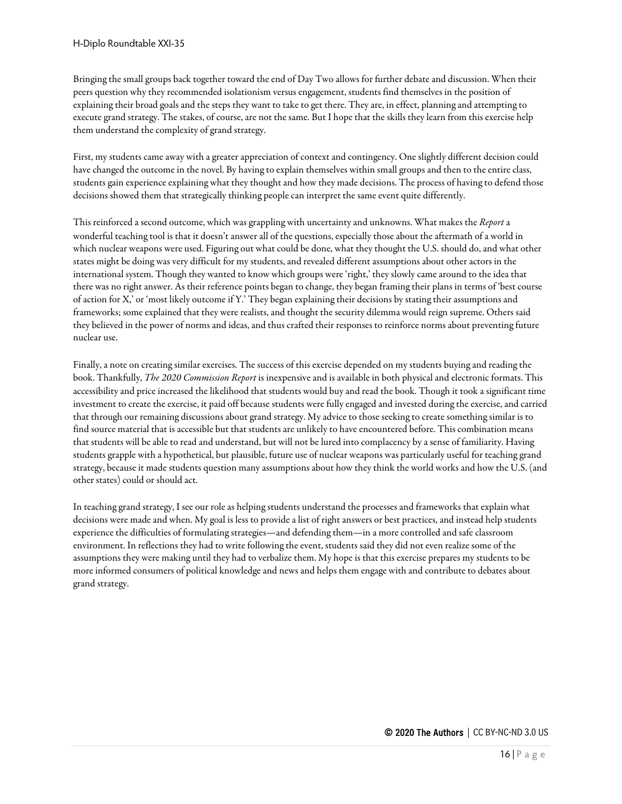Bringing the small groups back together toward the end of Day Two allows for further debate and discussion. When their peers question why they recommended isolationism versus engagement, students find themselves in the position of explaining their broad goals and the steps they want to take to get there. They are, in effect, planning and attempting to execute grand strategy. The stakes, of course, are not the same. But I hope that the skills they learn from this exercise help them understand the complexity of grand strategy.

First, my students came away with a greater appreciation of context and contingency. One slightly different decision could have changed the outcome in the novel. By having to explain themselves within small groups and then to the entire class, students gain experience explaining what they thought and how they made decisions. The process of having to defend those decisions showed them that strategically thinking people can interpret the same event quite differently.

This reinforced a second outcome, which was grappling with uncertainty and unknowns. What makes the *Report* a wonderful teaching tool is that it doesn't answer all of the questions, especially those about the aftermath of a world in which nuclear weapons were used. Figuring out what could be done, what they thought the U.S. should do, and what other states might be doing was very difficult for my students, and revealed different assumptions about other actors in the international system. Though they wanted to know which groups were 'right,' they slowly came around to the idea that there was no right answer. As their reference points began to change, they began framing their plans in terms of 'best course of action for X,' or 'most likely outcome if Y.' They began explaining their decisions by stating their assumptions and frameworks; some explained that they were realists, and thought the security dilemma would reign supreme. Others said they believed in the power of norms and ideas, and thus crafted their responses to reinforce norms about preventing future nuclear use.

Finally, a note on creating similar exercises. The success of this exercise depended on my students buying and reading the book. Thankfully, *The 2020 Commission Report* is inexpensive and is available in both physical and electronic formats. This accessibility and price increased the likelihood that students would buy and read the book. Though it took a significant time investment to create the exercise, it paid off because students were fully engaged and invested during the exercise, and carried that through our remaining discussions about grand strategy. My advice to those seeking to create something similar is to find source material that is accessible but that students are unlikely to have encountered before. This combination means that students will be able to read and understand, but will not be lured into complacency by a sense of familiarity. Having students grapple with a hypothetical, but plausible, future use of nuclear weapons was particularly useful for teaching grand strategy, because it made students question many assumptions about how they think the world works and how the U.S. (and other states) could or should act.

In teaching grand strategy, I see our role as helping students understand the processes and frameworks that explain what decisions were made and when. My goal is less to provide a list of right answers or best practices, and instead help students experience the difficulties of formulating strategies—and defending them—in a more controlled and safe classroom environment. In reflections they had to write following the event, students said they did not even realize some of the assumptions they were making until they had to verbalize them. My hope is that this exercise prepares my students to be more informed consumers of political knowledge and news and helps them engage with and contribute to debates about grand strategy.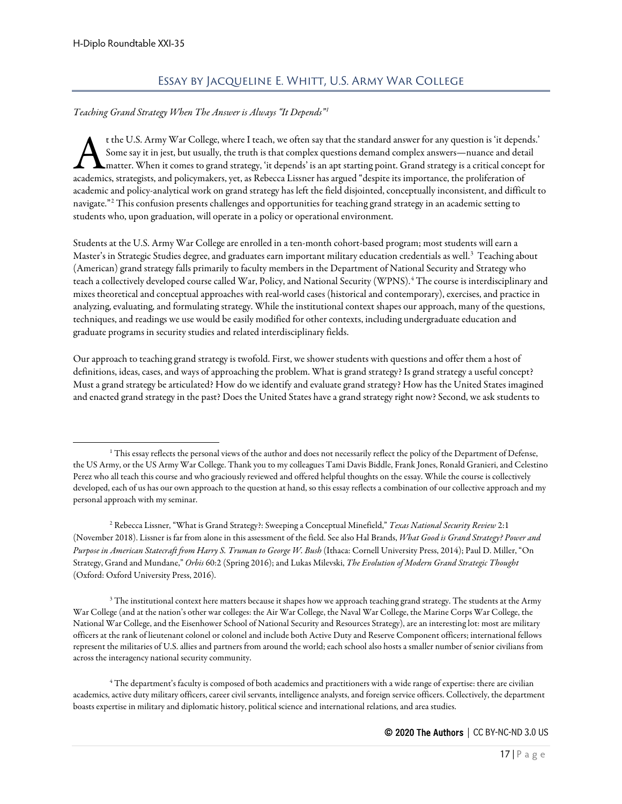# Essay by Jacqueline E. Whitt, U.S. Army War College

#### <span id="page-16-0"></span>*Teaching Grand Strategy When The Answer is Always "It Depends"[1](#page-16-1)*

t the U.S. Army War College, where I teach, we often say that the standard answer for any question is 'it depends.' Some say it in jest, but usually, the truth is that complex questions demand complex answers—nuance and detail matter. When it comes to grand strategy, 'it depends' is an apt starting point. Grand strategy is a critical concept for t the U.S. Army War College, where I teach, we often say that the standard answer for any question is 'it depen<br>Some say it in jest, but usually, the truth is that complex questions demand complex answers—nuance and deta<br>a academic and policy-analytical work on grand strategy has left the field disjointed, conceptually inconsistent, and difficult to navigate."[2](#page-16-2) This confusion presents challenges and opportunities for teaching grand strategy in an academic setting to students who, upon graduation, will operate in a policy or operational environment.

Students at the U.S. Army War College are enrolled in a ten-month cohort-based program; most students will earn a Master's in Strategic Studies degree, and graduates earn important military education credentials as well.<sup>[3](#page-16-3)</sup> Teaching about (American) grand strategy falls primarily to faculty members in the Department of National Security and Strategy who teach a collectively developed course called War, Policy, and National Security (WPNS).[4](#page-16-4) The course is interdisciplinary and mixes theoretical and conceptual approaches with real-world cases (historical and contemporary), exercises, and practice in analyzing, evaluating, and formulating strategy. While the institutional context shapes our approach, many of the questions, techniques, and readings we use would be easily modified for other contexts, including undergraduate education and graduate programs in security studies and related interdisciplinary fields.

Our approach to teaching grand strategy is twofold. First, we shower students with questions and offer them a host of definitions, ideas, cases, and ways of approaching the problem. What is grand strategy? Is grand strategy a useful concept? Must a grand strategy be articulated? How do we identify and evaluate grand strategy? How has the United States imagined and enacted grand strategy in the past? Does the United States have a grand strategy right now? Second, we ask students to

<span id="page-16-2"></span><sup>2</sup> Rebecca Lissner, "What is Grand Strategy?: Sweeping a Conceptual Minefield," *Texas National Security Review* 2:1 (November 2018). Lissner is far from alone in this assessment of the field. See also Hal Brands, *What Good is Grand Strategy? Power and Purpose in American Statecraft from Harry S. Truman to George W. Bush* (Ithaca: Cornell University Press, 2014); Paul D. Miller, "On Strategy, Grand and Mundane," *Orbis* 60:2 (Spring 2016); and Lukas Milevski, *The Evolution of Modern Grand Strategic Thought* (Oxford: Oxford University Press, 2016).

<span id="page-16-3"></span> $3$  The institutional context here matters because it shapes how we approach teaching grand strategy. The students at the Army War College (and at the nation's other war colleges: the Air War College, the Naval War College, the Marine Corps War College, the National War College, and the Eisenhower School of National Security and Resources Strategy), are an interesting lot: most are military officers at the rank of lieutenant colonel or colonel and include both Active Duty and Reserve Component officers; international fellows represent the militaries of U.S. allies and partners from around the world; each school also hosts a smaller number of senior civilians from across the interagency national security community.

<span id="page-16-4"></span> $^4$  The department's faculty is composed of both academics and practitioners with a wide range of expertise: there are civilian academics, active duty military officers, career civil servants, intelligence analysts, and foreign service officers. Collectively, the department boasts expertise in military and diplomatic history, political science and international relations, and area studies.

<span id="page-16-1"></span><sup>&</sup>lt;sup>1</sup> This essay reflects the personal views of the author and does not necessarily reflect the policy of the Department of Defense, the US Army, or the US Army War College. Thank you to my colleagues Tami Davis Biddle, Frank Jones, Ronald Granieri, and Celestino Perez who all teach this course and who graciously reviewed and offered helpful thoughts on the essay. While the course is collectively developed, each of us has our own approach to the question at hand, so this essay reflects a combination of our collective approach and my personal approach with my seminar.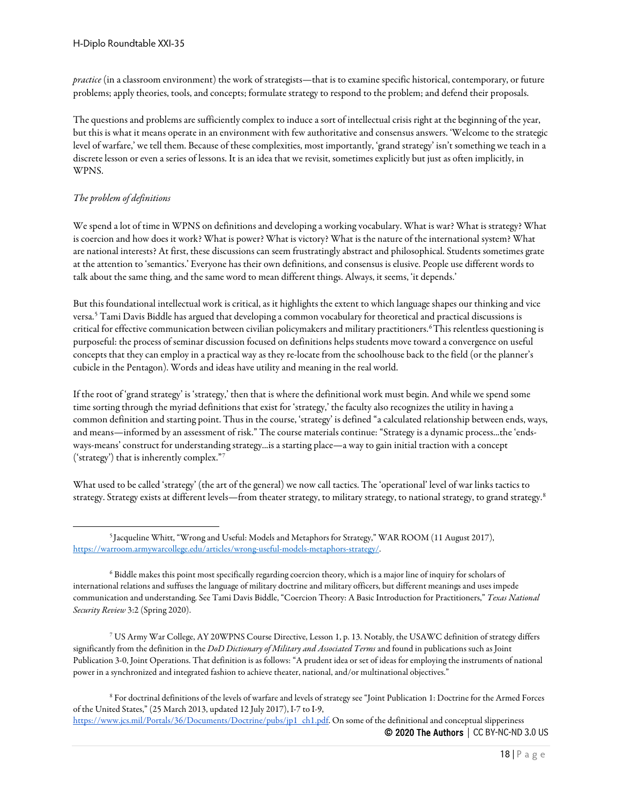*practice* (in a classroom environment) the work of strategists—that is to examine specific historical, contemporary, or future problems; apply theories, tools, and concepts; formulate strategy to respond to the problem; and defend their proposals.

The questions and problems are sufficiently complex to induce a sort of intellectual crisis right at the beginning of the year, but this is what it means operate in an environment with few authoritative and consensus answers. 'Welcome to the strategic level of warfare,' we tell them. Because of these complexities, most importantly, 'grand strategy' isn't something we teach in a discrete lesson or even a series of lessons. It is an idea that we revisit, sometimes explicitly but just as often implicitly, in WPNS.

#### *The problem of definitions*

We spend a lot of time in WPNS on definitions and developing a working vocabulary. What is war? What is strategy? What is coercion and how does it work? What is power? What is victory? What is the nature of the international system? What are national interests? At first, these discussions can seem frustratingly abstract and philosophical. Students sometimes grate at the attention to 'semantics.' Everyone has their own definitions, and consensus is elusive. People use different words to talk about the same thing, and the same word to mean different things. Always, it seems, 'it depends.'

But this foundational intellectual work is critical, as it highlights the extent to which language shapes our thinking and vice versa.[5](#page-17-0) Tami Davis Biddle has argued that developing a common vocabulary for theoretical and practical discussions is critical for effective communication between civilian policymakers and military practitioners.[6](#page-17-1)This relentless questioning is purposeful: the process of seminar discussion focused on definitions helps students move toward a convergence on useful concepts that they can employ in a practical way as they re-locate from the schoolhouse back to the field (or the planner's cubicle in the Pentagon). Words and ideas have utility and meaning in the real world.

If the root of 'grand strategy' is 'strategy,' then that is where the definitional work must begin. And while we spend some time sorting through the myriad definitions that exist for 'strategy,' the faculty also recognizes the utility in having a common definition and starting point. Thus in the course, 'strategy' is defined "a calculated relationship between ends, ways, and means—informed by an assessment of risk." The course materials continue: "Strategy is a dynamic process...the 'endsways-means' construct for understanding strategy...is a starting place—a way to gain initial traction with a concept ('strategy') that is inherently complex."[7](#page-17-2)

What used to be called 'strategy' (the art of the general) we now call tactics. The 'operational' level of war links tactics to strategy. Strategy exists at different levels—from theater strategy, to military strategy, to national strategy, to grand strategy.<sup>[8](#page-17-3)</sup>

<span id="page-17-3"></span><sup>8</sup> For doctrinal definitions of the levels of warfare and levels of strategy see "Joint Publication 1: Doctrine for the Armed Forces of the United States," (25 March 2013, updated 12 July 2017), I-7 to I-9,

© 2020 The Authors | CC BY-NC-ND 3.0 US [https://www.jcs.mil/Portals/36/Documents/Doctrine/pubs/jp1\\_ch1.pdf.](https://www.jcs.mil/Portals/36/Documents/Doctrine/pubs/jp1_ch1.pdf) On some of the definitional and conceptual slipperiness

<span id="page-17-0"></span><sup>5</sup> Jacqueline Whitt, "Wrong and Useful: Models and Metaphors for Strategy," WAR ROOM (11 August 2017), [https://warroom.armywarcollege.edu/articles/wrong-useful-models-metaphors-strategy/.](https://warroom.armywarcollege.edu/articles/wrong-useful-models-metaphors-strategy/) 

<span id="page-17-1"></span><sup>6</sup> Biddle makes this point most specifically regarding coercion theory, which is a major line of inquiry for scholars of international relations and suffuses the language of military doctrine and military officers, but different meanings and uses impede communication and understanding. See Tami Davis Biddle, "Coercion Theory: A Basic Introduction for Practitioners," *Texas National Security Review* 3:2 (Spring 2020).

<span id="page-17-2"></span><sup>7</sup> US Army War College, AY 20WPNS Course Directive, Lesson 1, p. 13. Notably, the USAWC definition of strategy differs significantly from the definition in the *DoD Dictionary of Military and Associated Terms* and found in publications such as Joint Publication 3-0, Joint Operations. That definition is as follows: "A prudent idea or set of ideas for employing the instruments of national power in a synchronized and integrated fashion to achieve theater, national, and/or multinational objectives."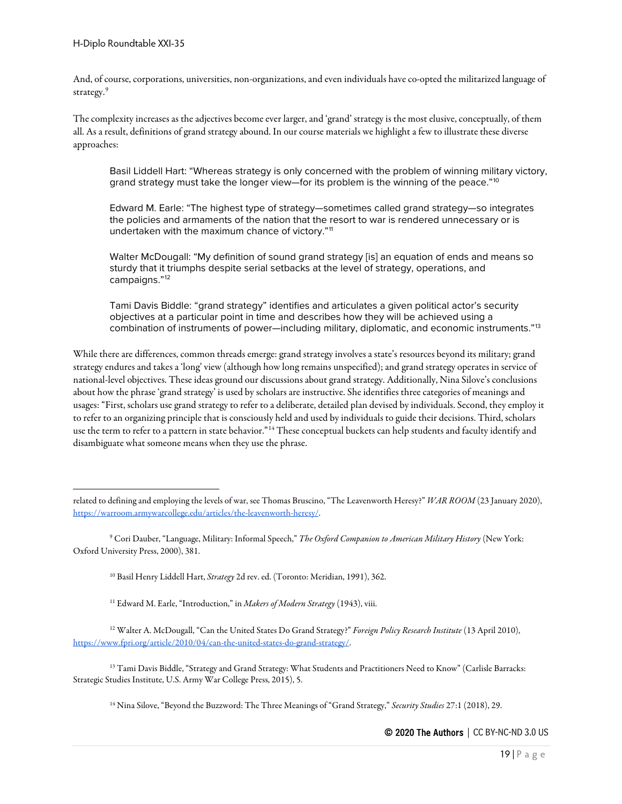And, of course, corporations, universities, non-organizations, and even individuals have co-opted the militarized language of strategy.<sup>[9](#page-18-0)</sup>

The complexity increases as the adjectives become ever larger, and 'grand' strategy is the most elusive, conceptually, of them all. As a result, definitions of grand strategy abound. In our course materials we highlight a few to illustrate these diverse approaches:

Basil Liddell Hart: "Whereas strategy is only concerned with the problem of winning military victory, grand strategy must take the longer view—for its problem is the winning of the peace."<sup>[10](#page-18-1)</sup>

Edward M. Earle: "The highest type of strategy—sometimes called grand strategy—so integrates the policies and armaments of the nation that the resort to war is rendered unnecessary or is undertaken with the maximum chance of victory."<sup>[11](#page-18-2)</sup>

Walter McDougall: "My definition of sound grand strategy [is] an equation of ends and means so sturdy that it triumphs despite serial setbacks at the level of strategy, operations, and campaigns."[12](#page-18-3)

Tami Davis Biddle: "grand strategy" identifies and articulates a given political actor's security objectives at a particular point in time and describes how they will be achieved using a combination of instruments of power—including military, diplomatic, and economic instruments."<sup>[13](#page-18-4)</sup>

While there are differences, common threads emerge: grand strategy involves a state's resources beyond its military; grand strategy endures and takes a 'long' view (although how long remains unspecified); and grand strategy operates in service of national-level objectives. These ideas ground our discussions about grand strategy. Additionally, Nina Silove's conclusions about how the phrase 'grand strategy' is used by scholars are instructive. She identifies three categories of meanings and usages: "First, scholars use grand strategy to refer to a deliberate, detailed plan devised by individuals. Second, they employ it to refer to an organizing principle that is consciously held and used by individuals to guide their decisions. Third, scholars use the term to refer to a pattern in state behavior."[14](#page-18-5) These conceptual buckets can help students and faculty identify and disambiguate what someone means when they use the phrase.

<span id="page-18-5"></span><span id="page-18-4"></span><sup>13</sup> Tami Davis Biddle, "Strategy and Grand Strategy: What Students and Practitioners Need to Know" (Carlisle Barracks: Strategic Studies Institute, U.S. Army War College Press, 2015), 5.

<sup>14</sup> Nina Silove, "Beyond the Buzzword: The Three Meanings of "Grand Strategy," *Security Studies* 27:1 (2018), 29.

related to defining and employing the levels of war, see Thomas Bruscino, "The Leavenworth Heresy?" *WAR ROOM* (23 January 2020), [https://warroom.armywarcollege.edu/articles/the-leavenworth-heresy/.](https://warroom.armywarcollege.edu/articles/the-leavenworth-heresy/) 

<span id="page-18-1"></span><span id="page-18-0"></span><sup>9</sup> Cori Dauber, "Language, Military: Informal Speech," *The Oxford Companion to American Military History* (New York: Oxford University Press, 2000), 381.

<sup>10</sup> Basil Henry Liddell Hart, *Strategy* 2d rev. ed. (Toronto: Meridian, 1991), 362.

<sup>11</sup> Edward M. Earle, "Introduction," in *Makers of Modern Strategy* (1943), viii.

<span id="page-18-3"></span><span id="page-18-2"></span><sup>12</sup> Walter A. McDougall, "Can the United States Do Grand Strategy?" *Foreign Policy Research Institute* (13 April 2010), [https://www.fpri.org/article/2010/04/can-the-united-states-do-grand-strategy/.](https://www.fpri.org/article/2010/04/can-the-united-states-do-grand-strategy/)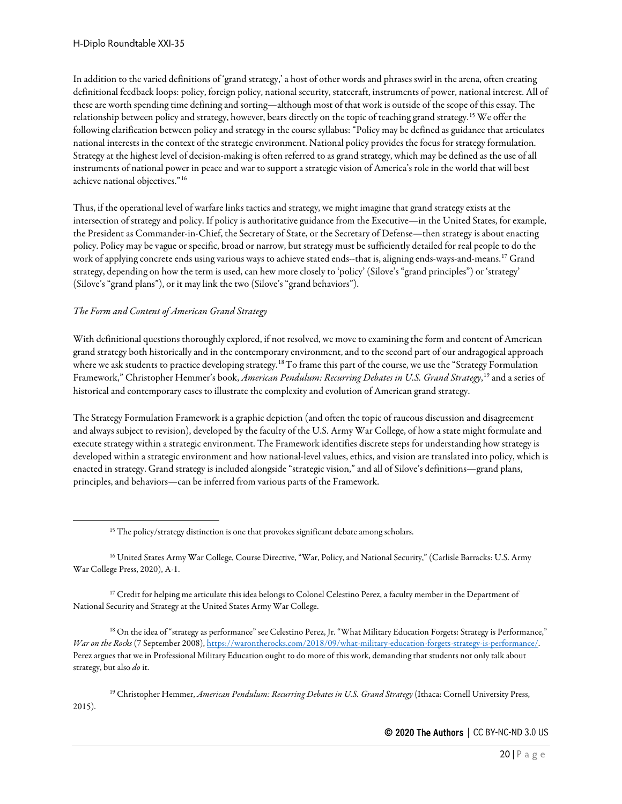In addition to the varied definitions of 'grand strategy,' a host of other words and phrases swirl in the arena, often creating definitional feedback loops: policy, foreign policy, national security, statecraft, instruments of power, national interest. All of these are worth spending time defining and sorting—although most of that work is outside of the scope of this essay. The relationship between policy and strategy, however, bears directly on the topic of teaching grand strategy.[15](#page-19-0) We offer the following clarification between policy and strategy in the course syllabus: "Policy may be defined as guidance that articulates national interests in the context of the strategic environment. National policy provides the focus for strategy formulation. Strategy at the highest level of decision-making is often referred to as grand strategy, which may be defined as the use of all instruments of national power in peace and war to support a strategic vision of America's role in the world that will best achieve national objectives."[16](#page-19-1)

Thus, if the operational level of warfare links tactics and strategy, we might imagine that grand strategy exists at the intersection of strategy and policy. If policy is authoritative guidance from the Executive—in the United States, for example, the President as Commander-in-Chief, the Secretary of State, or the Secretary of Defense—then strategy is about enacting policy. Policy may be vague or specific, broad or narrow, but strategy must be sufficiently detailed for real people to do the work of applying concrete ends using various ways to achieve stated ends--that is, aligning ends-ways-and-means.[17](#page-19-2) Grand strategy, depending on how the term is used, can hew more closely to 'policy' (Silove's "grand principles") or 'strategy' (Silove's "grand plans"), or it may link the two (Silove's "grand behaviors").

## *The Form and Content of American Grand Strategy*

With definitional questions thoroughly explored, if not resolved, we move to examining the form and content of American grand strategy both historically and in the contemporary environment, and to the second part of our andragogical approach where we ask students to practice developing strategy.<sup>[18](#page-19-3)</sup> To frame this part of the course, we use the "Strategy Formulation Framework," Christopher Hemmer's book, *American Pendulum: Recurring Debates in U.S. Grand Strategy*, [19](#page-19-4) and a series of historical and contemporary cases to illustrate the complexity and evolution of American grand strategy.

The Strategy Formulation Framework is a graphic depiction (and often the topic of raucous discussion and disagreement and always subject to revision), developed by the faculty of the U.S. Army War College, of how a state might formulate and execute strategy within a strategic environment. The Framework identifies discrete steps for understanding how strategy is developed within a strategic environment and how national-level values, ethics, and vision are translated into policy, which is enacted in strategy. Grand strategy is included alongside "strategic vision," and all of Silove's definitions—grand plans, principles, and behaviors—can be inferred from various parts of the Framework.

<span id="page-19-1"></span><span id="page-19-0"></span><sup>16</sup> United States Army War College, Course Directive, "War, Policy, and National Security," (Carlisle Barracks: U.S. Army War College Press, 2020), A-1.

<span id="page-19-2"></span><sup>17</sup> Credit for helping me articulate this idea belongs to Colonel Celestino Perez, a faculty member in the Department of National Security and Strategy at the United States Army War College.

<span id="page-19-3"></span><sup>18</sup> On the idea of "strategy as performance" see Celestino Perez, Jr. "What Military Education Forgets: Strategy is Performance," *War on the Rocks* (7 September 2008)[, https://warontherocks.com/2018/09/what-military-education-forgets-strategy-is-performance/.](https://warontherocks.com/2018/09/what-military-education-forgets-strategy-is-performance/)  Perez argues that we in Professional Military Education ought to do more of this work, demanding that students not only talk about strategy, but also *do* it.

<span id="page-19-4"></span><sup>19</sup> Christopher Hemmer, *American Pendulum: Recurring Debates in U.S. Grand Strategy* (Ithaca: Cornell University Press, 2015).

<sup>&</sup>lt;sup>15</sup> The policy/strategy distinction is one that provokes significant debate among scholars.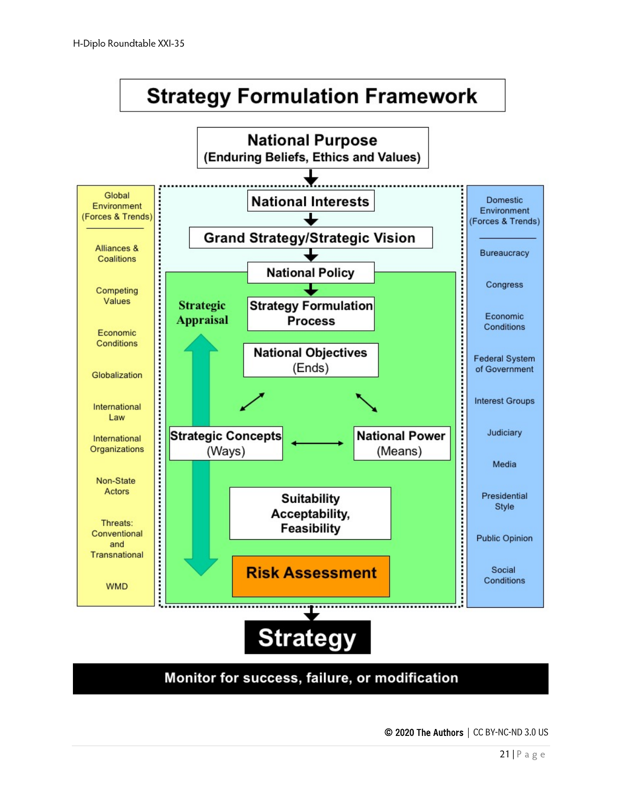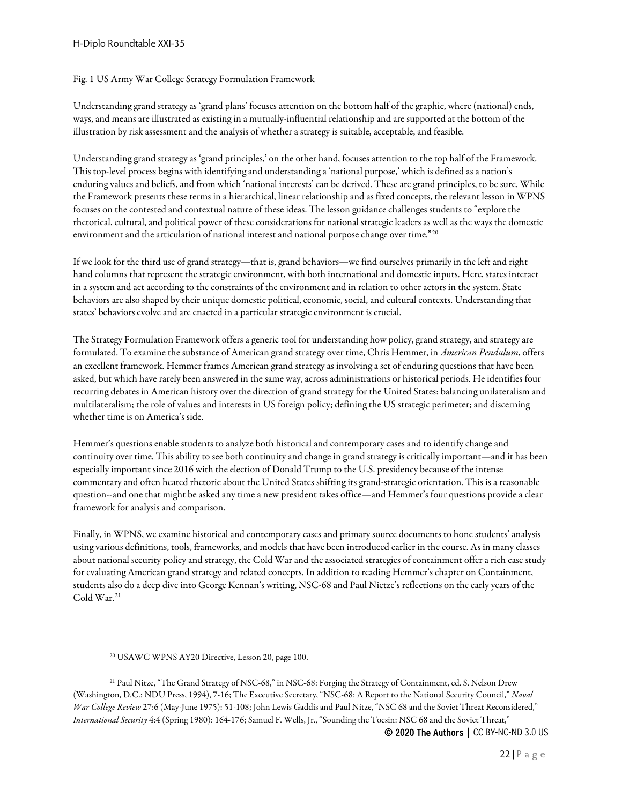#### H-Diplo Roundtable XXI-35

#### Fig. 1 US Army War College Strategy Formulation Framework

Understanding grand strategy as 'grand plans' focuses attention on the bottom half of the graphic, where (national) ends, ways, and means are illustrated as existing in a mutually-influential relationship and are supported at the bottom of the illustration by risk assessment and the analysis of whether a strategy is suitable, acceptable, and feasible.

Understanding grand strategy as 'grand principles,' on the other hand, focuses attention to the top half of the Framework. This top-level process begins with identifying and understanding a 'national purpose,' which is defined as a nation's enduring values and beliefs, and from which 'national interests' can be derived. These are grand principles, to be sure. While the Framework presents these terms in a hierarchical, linear relationship and as fixed concepts, the relevant lesson in WPNS focuses on the contested and contextual nature of these ideas. The lesson guidance challenges students to "explore the rhetorical, cultural, and political power of these considerations for national strategic leaders as well as the ways the domestic environment and the articulation of national interest and national purpose change over time."<sup>[20](#page-21-0)</sup>

If we look for the third use of grand strategy—that is, grand behaviors—we find ourselves primarily in the left and right hand columns that represent the strategic environment, with both international and domestic inputs. Here, states interact in a system and act according to the constraints of the environment and in relation to other actors in the system. State behaviors are also shaped by their unique domestic political, economic, social, and cultural contexts. Understanding that states' behaviors evolve and are enacted in a particular strategic environment is crucial.

The Strategy Formulation Framework offers a generic tool for understanding how policy, grand strategy, and strategy are formulated. To examine the substance of American grand strategy over time, Chris Hemmer, in *American Pendulum*, offers an excellent framework. Hemmer frames American grand strategy as involving a set of enduring questions that have been asked, but which have rarely been answered in the same way, across administrations or historical periods. He identifies four recurring debates in American history over the direction of grand strategy for the United States: balancing unilateralism and multilateralism; the role of values and interests in US foreign policy; defining the US strategic perimeter; and discerning whether time is on America's side.

Hemmer's questions enable students to analyze both historical and contemporary cases and to identify change and continuity over time. This ability to see both continuity and change in grand strategy iscritically important—and it has been especially important since 2016 with the election of Donald Trump to the U.S. presidency because of the intense commentary and often heated rhetoric about the United States shifting its grand-strategic orientation. This is a reasonable question--and one that might be asked any time a new president takes office—and Hemmer's four questions provide a clear framework for analysis and comparison.

Finally, in WPNS, we examine historical and contemporary cases and primary source documents to hone students' analysis using various definitions, tools, frameworks, and models that have been introduced earlier in the course. As in many classes about national security policy and strategy, the Cold War and the associated strategies of containment offer a rich case study for evaluating American grand strategy and related concepts. In addition to reading Hemmer's chapter on Containment, students also do a deep dive into George Kennan's writing, NSC-68 and Paul Nietze's reflections on the early years of the Cold War.<sup>[21](#page-21-1)</sup>

<span id="page-21-1"></span><span id="page-21-0"></span><sup>21</sup> Paul Nitze, "The Grand Strategy of NSC-68," in NSC-68: Forging the Strategy of Containment, ed. S. Nelson Drew (Washington, D.C.: NDU Press, 1994), 7-16; The Executive Secretary, "NSC-68: A Report to the National Security Council," *Naval War College Review* 27:6 (May-June 1975): 51-108; John Lewis Gaddis and Paul Nitze, "NSC 68 and the Soviet Threat Reconsidered," *International Security* 4:4 (Spring 1980): 164-176; Samuel F. Wells, Jr., "Sounding the Tocsin: NSC 68 and the Soviet Threat,"

<sup>20</sup> USAWC WPNS AY20 Directive, Lesson 20, page 100.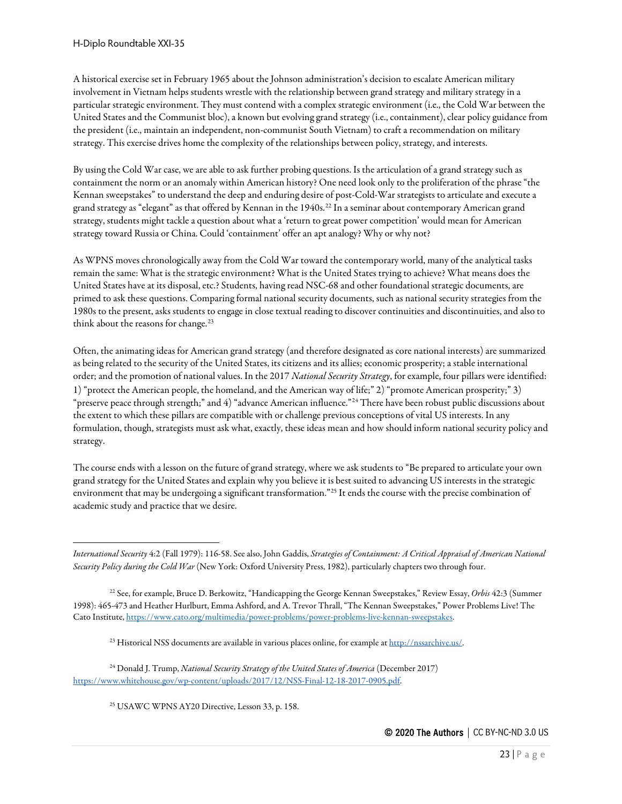A historical exercise set in February 1965 about the Johnson administration's decision to escalate American military involvement in Vietnam helps students wrestle with the relationship between grand strategy and military strategy in a particular strategic environment. They must contend with a complex strategic environment (i.e., the Cold War between the United States and the Communist bloc), a known but evolving grand strategy (i.e., containment), clear policy guidance from the president (i.e., maintain an independent, non-communist South Vietnam) to craft a recommendation on military strategy. This exercise drives home the complexity of the relationships between policy, strategy, and interests.

By using the Cold War case, we are able to ask further probing questions. Is the articulation of a grand strategy such as containment the norm or an anomaly within American history? One need look only to the proliferation of the phrase "the Kennan sweepstakes" to understand the deep and enduring desire of post-Cold-War strategists to articulate and execute a grand strategy as "elegant" as that offered by Kennan in the 1940s[.22](#page-22-0) In a seminar about contemporary American grand strategy, students might tackle a question about what a 'return to great power competition' would mean for American strategy toward Russia or China. Could 'containment' offer an apt analogy? Why or why not?

As WPNS moves chronologically away from the Cold War toward the contemporary world, many of the analytical tasks remain the same: What is the strategic environment? What is the United States trying to achieve? What means does the United States have at its disposal, etc.? Students, having read NSC-68 and other foundational strategic documents, are primed to ask these questions. Comparing formal national security documents, such as national security strategies from the 1980s to the present, asks students to engage in close textual reading to discover continuities and discontinuities, and also to think about the reasons for change.<sup>[23](#page-22-1)</sup>

Often, the animating ideas for American grand strategy (and therefore designated as core national interests) are summarized as being related to the security of the United States, its citizens and its allies; economic prosperity; a stable international order; and the promotion of national values. In the 2017 *National Security Strategy*, for example, four pillars were identified: 1) "protect the American people, the homeland, and the American way of life;" 2) "promote American prosperity;" 3) "preserve peace through strength;" and 4) "advance American influence."<sup>[24](#page-22-2)</sup> There have been robust public discussions about the extent to which these pillars are compatible with or challenge previous conceptions of vital US interests. In any formulation, though, strategists must ask what, exactly, these ideas mean and how should inform national security policy and strategy.

The course ends with a lesson on the future of grand strategy, where we ask students to "Be prepared to articulate your own grand strategy for the United States and explain why you believe it is best suited to advancing US interests in the strategic environment that may be undergoing a significant transformation."[25](#page-22-3) It ends the course with the precise combination of academic study and practice that we desire.

*International Security* 4:2 (Fall 1979): 116-58. See also, John Gaddis, *Strategies of Containment: A Critical Appraisal of American National Security Policy during the Cold War* (New York: Oxford University Press, 1982), particularly chapters two through four.

<span id="page-22-0"></span><sup>22</sup> See, for example, Bruce D. Berkowitz, "Handicapping the George Kennan Sweepstakes," Review Essay, *Orbis* 42:3 (Summer 1998): 465-473 and Heather Hurlburt, Emma Ashford, and A. Trevor Thrall, "The Kennan Sweepstakes," Power Problems Live! The Cato Institute[, https://www.cato.org/multimedia/power-problems/power-problems-live-kennan-sweepstakes.](https://www.cato.org/multimedia/power-problems/power-problems-live-kennan-sweepstakes)

<sup>&</sup>lt;sup>23</sup> Historical NSS documents are available in various places online, for example a[t http://nssarchive.us/.](http://nssarchive.us/)

<span id="page-22-3"></span><span id="page-22-2"></span><span id="page-22-1"></span><sup>24</sup> Donald J. Trump, *National Security Strategy of the United States of America* (December 2017) [https://www.whitehouse.gov/wp-content/uploads/2017/12/NSS-Final-12-18-2017-0905.pdf.](https://www.whitehouse.gov/wp-content/uploads/2017/12/NSS-Final-12-18-2017-0905.pdf)

<sup>25</sup> USAWC WPNS AY20 Directive, Lesson 33, p. 158.